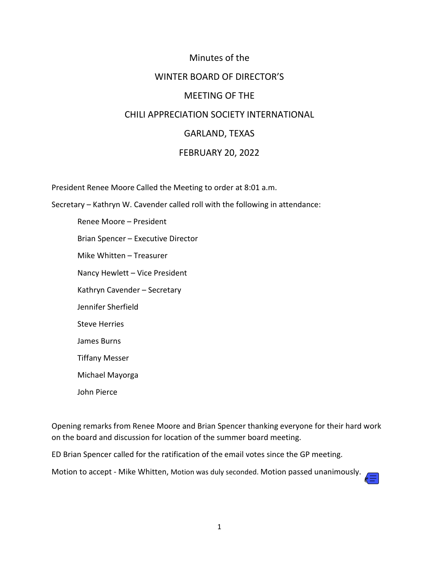# Minutes of the WINTER BOARD OF DIRECTOR'S MEETING OF THE CHILI APPRECIATION SOCIETY INTERNATIONAL GARLAND, TEXAS FEBRUARY 20, 2022

President Renee Moore Called the Meeting to order at 8:01 a.m.

Secretary – Kathryn W. Cavender called roll with the following in attendance:

Renee Moore – President Brian Spencer – Executive Director Mike Whitten – Treasurer Nancy Hewlett – Vice President Kathryn Cavender – Secretary Jennifer Sherfield Steve Herries James Burns Tiffany Messer Michael Mayorga John Pierce

Opening remarks from Renee Moore and Brian Spencer thanking everyone for their hard work on the board and discussion for location of the summer board meeting.

ED Brian Spencer called for the ratification of the email votes since the GP meeting.

Motion to accept - Mike Whitten, Motion was duly seconded. Motion passed unanimously.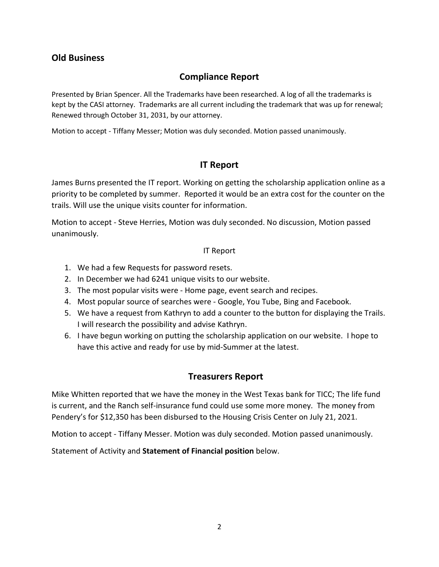## **Old Business**

# **Compliance Report**

Presented by Brian Spencer. All the Trademarks have been researched. A log of all the trademarks is kept by the CASI attorney. Trademarks are all current including the trademark that was up for renewal; Renewed through October 31, 2031, by our attorney.

Motion to accept - Tiffany Messer; Motion was duly seconded. Motion passed unanimously.

# **IT Report**

James Burns presented the IT report. Working on getting the scholarship application online as a priority to be completed by summer. Reported it would be an extra cost for the counter on the trails. Will use the unique visits counter for information.

Motion to accept - Steve Herries, Motion was duly seconded. No discussion, Motion passed unanimously.

#### IT Report

- 1. We had a few Requests for password resets.
- 2. In December we had 6241 unique visits to our website.
- 3. The most popular visits were Home page, event search and recipes.
- 4. Most popular source of searches were Google, You Tube, Bing and Facebook.
- 5. We have a request from Kathryn to add a counter to the button for displaying the Trails. I will research the possibility and advise Kathryn.
- 6. I have begun working on putting the scholarship application on our website. I hope to have this active and ready for use by mid-Summer at the latest.

### **Treasurers Report**

Mike Whitten reported that we have the money in the West Texas bank for TICC; The life fund is current, and the Ranch self-insurance fund could use some more money. The money from Pendery's for \$12,350 has been disbursed to the Housing Crisis Center on July 21, 2021.

Motion to accept - Tiffany Messer. Motion was duly seconded. Motion passed unanimously.

Statement of Activity and **Statement of Financial position** below.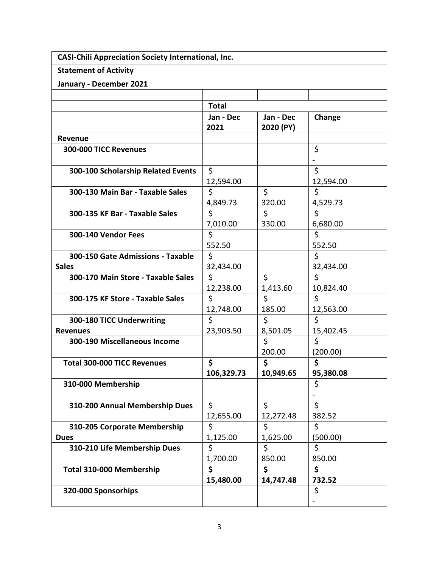| <b>CASI-Chili Appreciation Society International, Inc.</b> |                 |                 |                      |  |
|------------------------------------------------------------|-----------------|-----------------|----------------------|--|
| <b>Statement of Activity</b>                               |                 |                 |                      |  |
| January - December 2021                                    |                 |                 |                      |  |
|                                                            |                 |                 |                      |  |
|                                                            | <b>Total</b>    |                 |                      |  |
|                                                            | Jan - Dec       | Jan - Dec       | Change               |  |
|                                                            | 2021            | 2020 (PY)       |                      |  |
| <b>Revenue</b>                                             |                 |                 |                      |  |
| <b>300-000 TICC Revenues</b>                               |                 |                 | \$                   |  |
|                                                            |                 |                 | $\overline{a}$<br>\$ |  |
| 300-100 Scholarship Related Events                         | \$              |                 |                      |  |
| 300-130 Main Bar - Taxable Sales                           | 12,594.00<br>\$ | $\zeta$         | 12,594.00<br>Ś       |  |
|                                                            | 4,849.73        | 320.00          | 4,529.73             |  |
| 300-135 KF Bar - Taxable Sales                             | \$              | \$              | \$                   |  |
|                                                            | 7,010.00        | 330.00          | 6,680.00             |  |
| 300-140 Vendor Fees                                        | \$              |                 | \$                   |  |
|                                                            | 552.50          |                 | 552.50               |  |
| 300-150 Gate Admissions - Taxable                          | \$              |                 | \$                   |  |
| <b>Sales</b>                                               | 32,434.00       |                 | 32,434.00            |  |
| 300-170 Main Store - Taxable Sales                         | \$              | \$              | \$                   |  |
|                                                            | 12,238.00       | 1,413.60        | 10,824.40            |  |
| 300-175 KF Store - Taxable Sales                           | \$              | \$              | \$                   |  |
|                                                            | 12,748.00       | 185.00          | 12,563.00            |  |
| 300-180 TICC Underwriting                                  | \$              | \$              | \$                   |  |
| <b>Revenues</b>                                            | 23,903.50       | 8,501.05        | 15,402.45            |  |
| 300-190 Miscellaneous Income                               |                 | $\zeta$         | \$                   |  |
|                                                            |                 | 200.00          | (200.00)             |  |
| <b>Total 300-000 TICC Revenues</b>                         | \$              | \$              | \$                   |  |
|                                                            | 106,329.73      | 10,949.65       | 95,380.08            |  |
| 310-000 Membership                                         |                 |                 | \$                   |  |
|                                                            |                 |                 |                      |  |
| 310-200 Annual Membership Dues                             | \$              | \$              | \$                   |  |
| 310-205 Corporate Membership                               | 12,655.00<br>\$ | 12,272.48<br>\$ | 382.52<br>\$         |  |
| <b>Dues</b>                                                | 1,125.00        | 1,625.00        | (500.00)             |  |
| 310-210 Life Membership Dues                               | \$              | \$              | \$                   |  |
|                                                            | 1,700.00        | 850.00          | 850.00               |  |
| Total 310-000 Membership                                   | \$              | \$              | \$                   |  |
|                                                            | 15,480.00       | 14,747.48       | 732.52               |  |
| 320-000 Sponsorhips                                        |                 |                 | \$                   |  |
|                                                            |                 |                 |                      |  |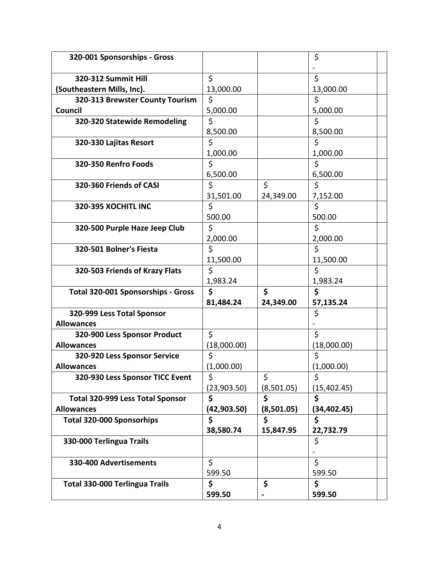| 320-001 Sponsorships - Gross              |             |            | \$           |  |
|-------------------------------------------|-------------|------------|--------------|--|
|                                           |             |            |              |  |
| 320-312 Summit Hill                       | \$          |            | \$           |  |
| (Southeastern Mills, Inc).                | 13,000.00   |            | 13,000.00    |  |
| 320-313 Brewster County Tourism           | \$          |            | \$           |  |
| Council                                   | 5,000.00    |            | 5,000.00     |  |
| 320-320 Statewide Remodeling              | \$          |            | \$           |  |
|                                           | 8,500.00    |            | 8,500.00     |  |
| 320-330 Lajitas Resort                    | \$          |            | \$           |  |
|                                           | 1,000.00    |            | 1,000.00     |  |
| 320-350 Renfro Foods                      | \$          |            | \$           |  |
|                                           | 6,500.00    |            | 6,500.00     |  |
| 320-360 Friends of CASI                   | \$          | \$         | \$           |  |
|                                           | 31,501.00   | 24,349.00  | 7,152.00     |  |
| 320-395 XOCHITL INC                       | \$          |            | \$           |  |
|                                           | 500.00      |            | 500.00       |  |
| 320-500 Purple Haze Jeep Club             | \$          |            | \$           |  |
|                                           | 2,000.00    |            | 2,000.00     |  |
| 320-501 Bolner's Fiesta                   | \$          |            | \$           |  |
|                                           | 11,500.00   |            | 11,500.00    |  |
| 320-503 Friends of Krazy Flats            | \$          |            | \$           |  |
|                                           | 1,983.24    |            | 1,983.24     |  |
| <b>Total 320-001 Sponsorships - Gross</b> | \$          | \$         | \$           |  |
|                                           | 81,484.24   | 24,349.00  | 57,135.24    |  |
| 320-999 Less Total Sponsor                |             |            | \$           |  |
| <b>Allowances</b>                         |             |            |              |  |
| 320-900 Less Sponsor Product              | \$          |            | \$           |  |
| <b>Allowances</b>                         | (18,000.00) |            | (18,000.00)  |  |
| 320-920 Less Sponsor Service              | \$          |            | \$           |  |
| <b>Allowances</b>                         | (1,000.00)  |            | (1,000.00)   |  |
| 320-930 Less Sponsor TICC Event           | \$          | \$         | \$           |  |
|                                           | (23,903.50) | (8,501.05) | (15, 402.45) |  |
| <b>Total 320-999 Less Total Sponsor</b>   | \$          | \$         | \$           |  |
| <b>Allowances</b>                         | (42,903.50) | (8,501.05) | (34,402.45)  |  |
| <b>Total 320-000 Sponsorhips</b>          | \$          | \$         | \$           |  |
|                                           | 38,580.74   | 15,847.95  | 22,732.79    |  |
| 330-000 Terlingua Trails                  |             |            | \$           |  |
|                                           |             |            |              |  |
| 330-400 Advertisements                    | \$          |            | \$           |  |
|                                           | 599.50      |            | 599.50       |  |
| Total 330-000 Terlingua Trails            | \$          | \$         | \$           |  |
|                                           |             |            |              |  |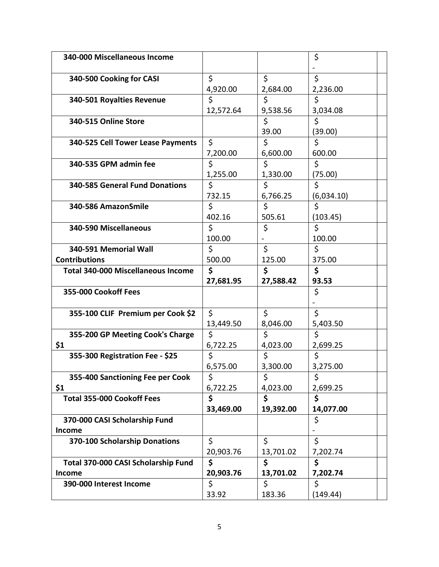| 340-000 Miscellaneous Income              |           |           | \$         |  |
|-------------------------------------------|-----------|-----------|------------|--|
|                                           |           |           |            |  |
| 340-500 Cooking for CASI                  | \$        | \$        | \$         |  |
|                                           | 4,920.00  | 2,684.00  | 2,236.00   |  |
|                                           | \$        | \$        |            |  |
| 340-501 Royalties Revenue                 |           |           | \$         |  |
|                                           | 12,572.64 | 9,538.56  | 3,034.08   |  |
| 340-515 Online Store                      |           | \$        | \$         |  |
|                                           |           | 39.00     | (39.00)    |  |
| 340-525 Cell Tower Lease Payments         | \$        | \$        | \$         |  |
|                                           | 7,200.00  | 6,600.00  | 600.00     |  |
| 340-535 GPM admin fee                     | \$        | \$        | \$         |  |
|                                           | 1,255.00  | 1,330.00  | (75.00)    |  |
| <b>340-585 General Fund Donations</b>     | \$        | \$        | \$         |  |
|                                           | 732.15    | 6,766.25  | (6,034.10) |  |
| 340-586 AmazonSmile                       | \$        | \$        | \$         |  |
|                                           | 402.16    | 505.61    | (103.45)   |  |
| 340-590 Miscellaneous                     | \$        | \$        | \$         |  |
|                                           | 100.00    |           | 100.00     |  |
| 340-591 Memorial Wall                     | \$        | \$        | \$         |  |
| <b>Contributions</b>                      | 500.00    | 125.00    | 375.00     |  |
| <b>Total 340-000 Miscellaneous Income</b> | \$        | \$        | \$         |  |
|                                           |           |           |            |  |
|                                           |           |           |            |  |
|                                           | 27,681.95 | 27,588.42 | 93.53      |  |
| 355-000 Cookoff Fees                      |           |           | \$         |  |
|                                           |           |           |            |  |
| 355-100 CLIF Premium per Cook \$2         | \$        | \$        | \$         |  |
|                                           | 13,449.50 | 8,046.00  | 5,403.50   |  |
| 355-200 GP Meeting Cook's Charge          | \$        | \$        | \$         |  |
| \$1                                       | 6,722.25  | 4,023.00  | 2,699.25   |  |
| 355-300 Registration Fee - \$25           | \$        | Ś.        | \$         |  |
|                                           | 6,575.00  | 3,300.00  | 3,275.00   |  |
| 355-400 Sanctioning Fee per Cook          | \$        | \$        | \$         |  |
| \$1                                       | 6,722.25  | 4,023.00  | 2,699.25   |  |
| <b>Total 355-000 Cookoff Fees</b>         | \$        | \$        | \$         |  |
|                                           | 33,469.00 | 19,392.00 | 14,077.00  |  |
| 370-000 CASI Scholarship Fund             |           |           | \$         |  |
| Income                                    |           |           |            |  |
| 370-100 Scholarship Donations             | \$        | $\zeta$   | \$         |  |
|                                           | 20,903.76 | 13,701.02 | 7,202.74   |  |
| Total 370-000 CASI Scholarship Fund       | \$        | \$        | \$         |  |
| Income                                    | 20,903.76 | 13,701.02 | 7,202.74   |  |
| 390-000 Interest Income                   | \$        | \$        | \$         |  |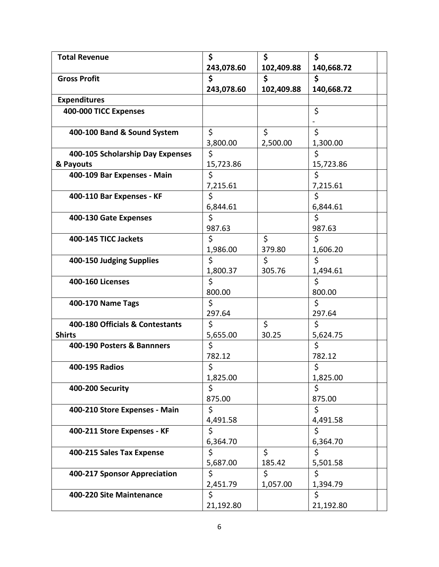| <b>Total Revenue</b>             | \$         | \$         | \$         |
|----------------------------------|------------|------------|------------|
|                                  | 243,078.60 | 102,409.88 | 140,668.72 |
| <b>Gross Profit</b>              | \$         | \$         | \$         |
|                                  | 243,078.60 | 102,409.88 | 140,668.72 |
| <b>Expenditures</b>              |            |            |            |
| 400-000 TICC Expenses            |            |            | \$         |
|                                  |            |            |            |
| 400-100 Band & Sound System      | \$         | \$         | \$         |
|                                  | 3,800.00   | 2,500.00   | 1,300.00   |
| 400-105 Scholarship Day Expenses | \$         |            | \$         |
| & Payouts                        | 15,723.86  |            | 15,723.86  |
| 400-109 Bar Expenses - Main      | Ś          |            | \$         |
|                                  | 7,215.61   |            | 7,215.61   |
| 400-110 Bar Expenses - KF        | \$         |            | \$         |
|                                  | 6,844.61   |            | 6,844.61   |
| 400-130 Gate Expenses            | \$         |            | \$         |
|                                  | 987.63     |            | 987.63     |
| 400-145 TICC Jackets             | \$         | \$         | \$         |
|                                  | 1,986.00   | 379.80     | 1,606.20   |
| 400-150 Judging Supplies         | \$         | \$         | \$         |
|                                  | 1,800.37   | 305.76     | 1,494.61   |
| <b>400-160 Licenses</b>          | \$         |            | \$         |
|                                  | 800.00     |            | 800.00     |
| 400-170 Name Tags                | \$         |            | \$         |
|                                  | 297.64     |            | 297.64     |
| 400-180 Officials & Contestants  | \$         | \$         | \$         |
| <b>Shirts</b>                    | 5,655.00   | 30.25      | 5,624.75   |
| 400-190 Posters & Bannners       | \$         |            | \$         |
|                                  | 782.12     |            | 782.12     |
| 400-195 Radios                   | \$         |            | \$         |
|                                  | 1,825.00   |            | 1,825.00   |
| 400-200 Security                 | \$         |            | \$         |
|                                  | 875.00     |            | 875.00     |
| 400-210 Store Expenses - Main    | \$         |            | \$         |
|                                  | 4,491.58   |            | 4,491.58   |
| 400-211 Store Expenses - KF      | \$         |            | \$         |
|                                  | 6,364.70   |            | 6,364.70   |
| 400-215 Sales Tax Expense        | \$         | \$         | \$         |
|                                  | 5,687.00   | 185.42     | 5,501.58   |
| 400-217 Sponsor Appreciation     | \$         | \$         | \$         |
|                                  | 2,451.79   | 1,057.00   | 1,394.79   |
| 400-220 Site Maintenance         | \$         |            | \$         |
|                                  | 21,192.80  |            | 21,192.80  |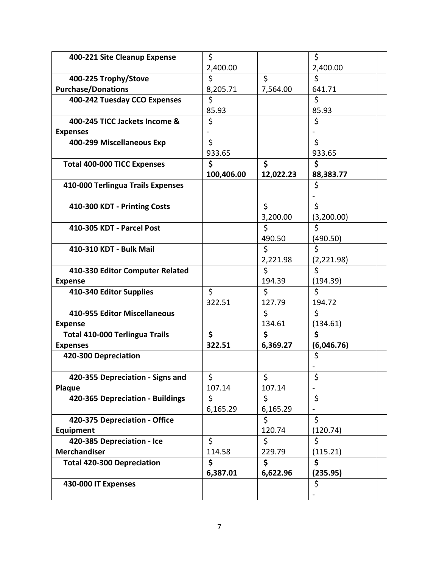| 400-221 Site Cleanup Expense          | \$         |              | \$                 |
|---------------------------------------|------------|--------------|--------------------|
|                                       | 2,400.00   |              | 2,400.00           |
| 400-225 Trophy/Stove                  | \$         | \$           | \$                 |
| <b>Purchase/Donations</b>             | 8,205.71   | 7,564.00     | 641.71             |
| 400-242 Tuesday CCO Expenses          | \$         |              | \$                 |
|                                       | 85.93      |              | 85.93              |
| 400-245 TICC Jackets Income &         | \$         |              | \$                 |
| <b>Expenses</b>                       |            |              |                    |
| 400-299 Miscellaneous Exp             | \$         |              | \$                 |
|                                       | 933.65     |              | 933.65             |
| <b>Total 400-000 TICC Expenses</b>    | \$         | \$           | \$                 |
|                                       | 100,406.00 | 12,022.23    | 88,383.77          |
| 410-000 Terlingua Trails Expenses     |            |              | \$                 |
|                                       |            |              |                    |
| 410-300 KDT - Printing Costs          |            | \$           | \$                 |
|                                       |            | 3,200.00     | (3,200.00)         |
| 410-305 KDT - Parcel Post             |            | \$           | \$                 |
|                                       |            | 490.50       | (490.50)           |
| 410-310 KDT - Bulk Mail               |            | \$           | \$                 |
|                                       |            | 2,221.98     | (2,221.98)         |
| 410-330 Editor Computer Related       |            | Ś.           | \$                 |
| <b>Expense</b>                        |            | 194.39       | (194.39)           |
| 410-340 Editor Supplies               | \$         | \$           | $\mathsf{\dot{S}}$ |
| 410-955 Editor Miscellaneous          | 322.51     | 127.79<br>\$ | 194.72<br>\$       |
| <b>Expense</b>                        |            | 134.61       | (134.61)           |
| <b>Total 410-000 Terlingua Trails</b> | \$         | \$           | \$                 |
| <b>Expenses</b>                       | 322.51     | 6,369.27     | (6,046.76)         |
| 420-300 Depreciation                  |            |              | \$                 |
|                                       |            |              |                    |
| 420-355 Depreciation - Signs and      | \$         | \$           | \$                 |
| Plaque                                | 107.14     | 107.14       |                    |
| 420-365 Depreciation - Buildings      | \$         | \$           | \$                 |
|                                       | 6,165.29   | 6,165.29     |                    |
| 420-375 Depreciation - Office         |            | \$           | \$                 |
| Equipment                             |            | 120.74       | (120.74)           |
| 420-385 Depreciation - Ice            | \$         | \$           | \$                 |
| <b>Merchandiser</b>                   | 114.58     | 229.79       | (115.21)           |
| <b>Total 420-300 Depreciation</b>     | \$         | \$           | \$                 |
|                                       | 6,387.01   | 6,622.96     | (235.95)           |
| 430-000 IT Expenses                   |            |              | \$                 |
|                                       |            |              |                    |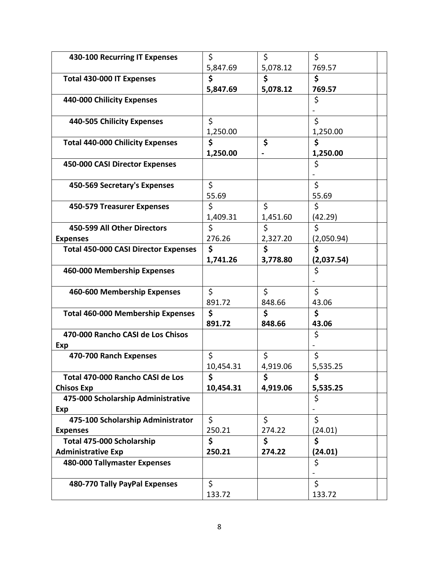| 430-100 Recurring IT Expenses               | \$              | \$       | \$         |  |
|---------------------------------------------|-----------------|----------|------------|--|
|                                             | 5,847.69        | 5,078.12 | 769.57     |  |
| Total 430-000 IT Expenses                   | \$              | \$       | \$         |  |
|                                             | 5,847.69        | 5,078.12 | 769.57     |  |
| 440-000 Chilicity Expenses                  |                 |          | \$         |  |
|                                             |                 |          |            |  |
| 440-505 Chilicity Expenses                  | \$              |          | \$         |  |
|                                             | 1,250.00        |          | 1,250.00   |  |
| <b>Total 440-000 Chilicity Expenses</b>     | \$              | \$       | \$         |  |
|                                             | 1,250.00        |          | 1,250.00   |  |
| 450-000 CASI Director Expenses              |                 |          | \$         |  |
|                                             |                 |          |            |  |
| 450-569 Secretary's Expenses                | \$              |          | \$         |  |
|                                             | 55.69           |          | 55.69      |  |
| 450-579 Treasurer Expenses                  | \$              | \$       | \$         |  |
|                                             | 1,409.31        | 1,451.60 | (42.29)    |  |
| 450-599 All Other Directors                 | \$              | \$       | \$         |  |
| <b>Expenses</b>                             | 276.26          | 2,327.20 | (2,050.94) |  |
| <b>Total 450-000 CASI Director Expenses</b> | \$              | \$       | \$         |  |
|                                             | 1,741.26        | 3,778.80 | (2,037.54) |  |
| 460-000 Membership Expenses                 |                 |          | \$         |  |
|                                             |                 |          |            |  |
| 460-600 Membership Expenses                 | \$              | \$       | \$         |  |
|                                             | 891.72          | 848.66   | 43.06      |  |
| <b>Total 460-000 Membership Expenses</b>    | \$              | \$       | \$         |  |
|                                             | 891.72          | 848.66   | 43.06      |  |
| 470-000 Rancho CASI de Los Chisos           |                 |          | \$         |  |
| Exp                                         |                 |          |            |  |
| 470-700 Ranch Expenses                      | \$              | \$       | \$         |  |
|                                             | 10,454.31       | 4,919.06 | 5,535.25   |  |
|                                             |                 | \$       |            |  |
| Total 470-000 Rancho CASI de Los            | \$<br>10,454.31 |          | \$         |  |
| <b>Chisos Exp</b>                           |                 | 4,919.06 | 5,535.25   |  |
| 475-000 Scholarship Administrative          |                 |          | \$         |  |
| Exp                                         | \$              | \$       | \$         |  |
| 475-100 Scholarship Administrator           |                 |          |            |  |
| <b>Expenses</b>                             | 250.21          | 274.22   | (24.01)    |  |
| Total 475-000 Scholarship                   | \$              | \$       | \$         |  |
| <b>Administrative Exp</b>                   | 250.21          | 274.22   | (24.01)    |  |
| 480-000 Tallymaster Expenses                |                 |          | \$         |  |
|                                             |                 |          |            |  |
| 480-770 Tally PayPal Expenses               | \$              |          | \$         |  |
|                                             | 133.72          |          | 133.72     |  |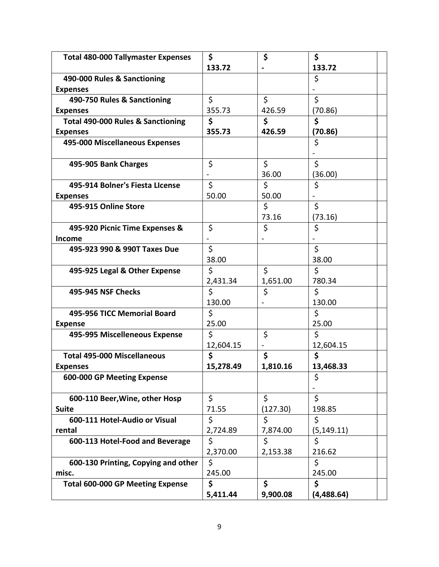| <b>Total 480-000 Tallymaster Expenses</b>    | \$        | \$       | \$              |  |
|----------------------------------------------|-----------|----------|-----------------|--|
|                                              | 133.72    |          | 133.72          |  |
| 490-000 Rules & Sanctioning                  |           |          | \$              |  |
| <b>Expenses</b>                              |           |          |                 |  |
| 490-750 Rules & Sanctioning                  | \$        | \$       | \$              |  |
| <b>Expenses</b>                              | 355.73    | 426.59   | (70.86)         |  |
| <b>Total 490-000 Rules &amp; Sanctioning</b> | \$        | \$       | \$              |  |
| <b>Expenses</b>                              | 355.73    | 426.59   | (70.86)         |  |
| 495-000 Miscellaneous Expenses               |           |          | \$              |  |
| 495-905 Bank Charges                         | \$        | \$       | \$              |  |
|                                              |           | 36.00    | (36.00)         |  |
| 495-914 Bolner's Fiesta LIcense              | \$        | \$       | \$              |  |
| <b>Expenses</b>                              | 50.00     | 50.00    |                 |  |
| 495-915 Online Store                         |           | \$       | \$              |  |
|                                              |           | 73.16    | (73.16)         |  |
| 495-920 Picnic Time Expenses &               | \$        | \$       | \$              |  |
| <b>Income</b>                                |           |          |                 |  |
| 495-923 990 & 990T Taxes Due                 | \$        |          | Ś               |  |
|                                              | 38.00     |          | 38.00           |  |
| 495-925 Legal & Other Expense                | \$        | \$       | \$              |  |
|                                              | 2,431.34  | 1,651.00 | 780.34          |  |
| 495-945 NSF Checks                           | \$        | \$       | \$              |  |
|                                              | 130.00    |          | 130.00          |  |
| 495-956 TICC Memorial Board                  | \$        |          | \$              |  |
| <b>Expense</b>                               | 25.00     |          | 25.00           |  |
| 495-995 Miscelleneous Expense                | \$        | \$       | \$              |  |
|                                              | 12,604.15 |          | 12,604.15<br>\$ |  |
| <b>Total 495-000 Miscellaneous</b>           | \$        | \$       |                 |  |
| <b>Expenses</b>                              | 15,278.49 | 1,810.16 | 13,468.33       |  |
| 600-000 GP Meeting Expense                   |           |          | \$              |  |
| 600-110 Beer, Wine, other Hosp               | \$        | \$       | \$              |  |
| <b>Suite</b>                                 | 71.55     | (127.30) | 198.85          |  |
| 600-111 Hotel-Audio or Visual                | \$        | \$       | \$              |  |
| rental                                       | 2,724.89  | 7,874.00 | (5, 149.11)     |  |
| 600-113 Hotel-Food and Beverage              | \$        | \$       | \$              |  |
|                                              | 2,370.00  | 2,153.38 | 216.62          |  |
| 600-130 Printing, Copying and other          | \$        |          | \$              |  |
| misc.                                        | 245.00    |          | 245.00          |  |
| <b>Total 600-000 GP Meeting Expense</b>      | \$        | \$       | \$              |  |
|                                              | 5,411.44  | 9,900.08 | (4,488.64)      |  |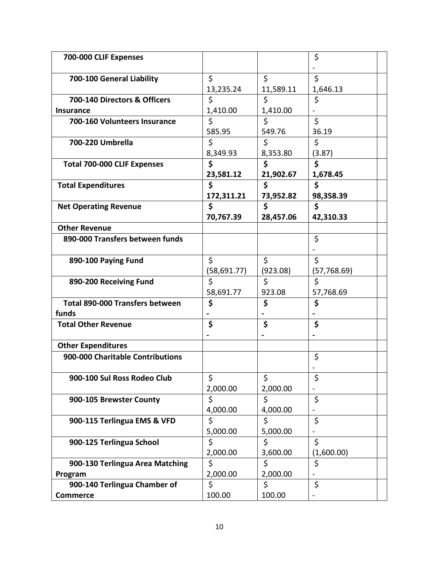| 700-000 CLIF Expenses                  |              |                      | \$                       |  |
|----------------------------------------|--------------|----------------------|--------------------------|--|
|                                        |              |                      |                          |  |
| 700-100 General Liability              | \$           | \$                   | \$                       |  |
|                                        | 13,235.24    | 11,589.11            | 1,646.13                 |  |
| 700-140 Directors & Officers           | \$           | \$                   | \$                       |  |
| <b>Insurance</b>                       | 1,410.00     | 1,410.00             |                          |  |
| 700-160 Volunteers Insurance           | \$           | \$                   | \$                       |  |
|                                        | 585.95       | 549.76               | 36.19                    |  |
| 700-220 Umbrella                       | \$           | \$                   | \$                       |  |
|                                        | 8,349.93     | 8,353.80             | (3.87)                   |  |
| <b>Total 700-000 CLIF Expenses</b>     | \$           | \$                   | \$                       |  |
|                                        | 23,581.12    | 21,902.67            | 1,678.45                 |  |
| <b>Total Expenditures</b>              | \$           | \$                   | \$                       |  |
|                                        | 172,311.21   | 73,952.82            | 98,358.39                |  |
| <b>Net Operating Revenue</b>           | \$           | $\boldsymbol{\zeta}$ | \$                       |  |
|                                        | 70,767.39    | 28,457.06            | 42,310.33                |  |
| <b>Other Revenue</b>                   |              |                      |                          |  |
| 890-000 Transfers between funds        |              |                      | \$                       |  |
|                                        |              |                      |                          |  |
| 890-100 Paying Fund                    | \$           | \$                   | \$                       |  |
|                                        | (58, 691.77) | (923.08)             | (57, 768.69)             |  |
| 890-200 Receiving Fund                 | \$           | \$                   | \$                       |  |
|                                        | 58,691.77    | 923.08               | 57,768.69                |  |
| <b>Total 890-000 Transfers between</b> | \$           | \$                   | \$                       |  |
| funds                                  |              |                      |                          |  |
| <b>Total Other Revenue</b>             | \$           | \$                   | \$                       |  |
|                                        |              |                      |                          |  |
| <b>Other Expenditures</b>              |              |                      |                          |  |
| 900-000 Charitable Contributions       |              |                      | \$                       |  |
|                                        |              |                      |                          |  |
| 900-100 Sul Ross Rodeo Club            | \$           | \$                   | \$                       |  |
|                                        | 2,000.00     | 2,000.00             |                          |  |
| 900-105 Brewster County                | \$           | \$                   | \$                       |  |
|                                        | 4,000.00     | 4,000.00             | $\overline{\phantom{0}}$ |  |
| 900-115 Terlingua EMS & VFD            | \$           | \$                   | \$                       |  |
|                                        | 5,000.00     | 5,000.00             |                          |  |
| 900-125 Terlingua School               | \$           | \$                   | \$                       |  |
|                                        | 2,000.00     | 3,600.00             | (1,600.00)               |  |
| 900-130 Terlingua Area Matching        | \$           | \$                   | \$                       |  |
| Program                                | 2,000.00     | 2,000.00             |                          |  |
| 900-140 Terlingua Chamber of           | \$           | \$                   | \$                       |  |
| <b>Commerce</b>                        | 100.00       | 100.00               |                          |  |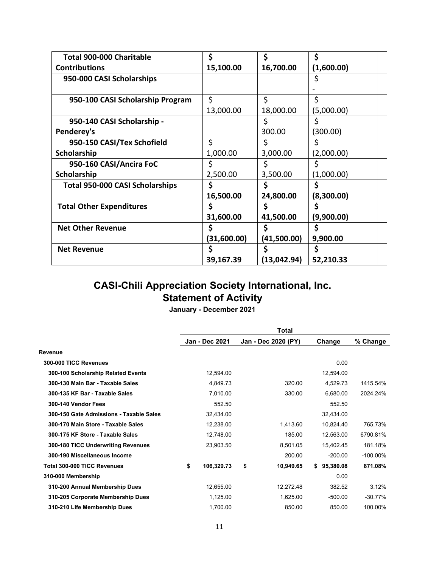| <b>Total 900-000 Charitable</b>        | \$          | \$           | \$         |
|----------------------------------------|-------------|--------------|------------|
| <b>Contributions</b>                   | 15,100.00   | 16,700.00    | (1,600.00) |
| 950-000 CASI Scholarships              |             |              | \$         |
|                                        |             |              |            |
| 950-100 CASI Scholarship Program       | \$          | \$           | \$         |
|                                        | 13,000.00   | 18,000.00    | (5,000.00) |
| 950-140 CASI Scholarship -             |             | \$           |            |
| Penderey's                             |             | 300.00       | (300.00)   |
| 950-150 CASI/Tex Schofield             | \$          | \$           | S          |
| Scholarship                            | 1,000.00    | 3,000.00     | (2,000.00) |
| 950-160 CASI/Ancira FoC                | \$          | \$           |            |
| Scholarship                            | 2,500.00    | 3,500.00     | (1,000.00) |
| <b>Total 950-000 CASI Scholarships</b> | \$          | Ś            | Ś          |
|                                        | 16,500.00   | 24,800.00    | (8,300.00) |
| <b>Total Other Expenditures</b>        | \$          | \$           | \$         |
|                                        | 31,600.00   | 41,500.00    | (9,900.00) |
| <b>Net Other Revenue</b>               | Ş           | \$           | \$         |
|                                        | (31,600.00) | (41,500.00)  | 9,900.00   |
| <b>Net Revenue</b>                     | \$          | \$           | S          |
|                                        | 39,167.39   | (13, 042.94) | 52,210.33  |

# **CASI-Chili Appreciation Society International, Inc. Statement of Activity**

**January - December 2021**

|                                         | <b>Total</b> |                       |                     |                 |             |  |
|-----------------------------------------|--------------|-----------------------|---------------------|-----------------|-------------|--|
|                                         |              | <b>Jan - Dec 2021</b> | Jan - Dec 2020 (PY) | Change          | % Change    |  |
| Revenue                                 |              |                       |                     |                 |             |  |
| 300-000 TICC Revenues                   |              |                       |                     | 0.00            |             |  |
| 300-100 Scholarship Related Events      |              | 12,594.00             |                     | 12,594.00       |             |  |
| 300-130 Main Bar - Taxable Sales        |              | 4,849.73              | 320.00              | 4,529.73        | 1415.54%    |  |
| 300-135 KF Bar - Taxable Sales          |              | 7,010.00              | 330.00              | 6,680.00        | 2024.24%    |  |
| 300-140 Vendor Fees                     |              | 552.50                |                     | 552.50          |             |  |
| 300-150 Gate Admissions - Taxable Sales |              | 32,434.00             |                     | 32,434.00       |             |  |
| 300-170 Main Store - Taxable Sales      |              | 12,238.00             | 1,413.60            | 10,824.40       | 765.73%     |  |
| 300-175 KF Store - Taxable Sales        |              | 12,748.00             | 185.00              | 12,563.00       | 6790.81%    |  |
| 300-180 TICC Underwriting Revenues      |              | 23,903.50             | 8,501.05            | 15,402.45       | 181.18%     |  |
| 300-190 Miscellaneous Income            |              |                       | 200.00              | $-200.00$       | $-100.00\%$ |  |
| <b>Total 300-000 TICC Revenues</b>      | \$           | 106,329.73            | \$<br>10,949.65     | 95,380.08<br>\$ | 871.08%     |  |
| 310-000 Membership                      |              |                       |                     | 0.00            |             |  |
| 310-200 Annual Membership Dues          |              | 12,655.00             | 12,272.48           | 382.52          | 3.12%       |  |
| 310-205 Corporate Membership Dues       |              | 1,125.00              | 1,625.00            | $-500.00$       | $-30.77%$   |  |
| 310-210 Life Membership Dues            |              | 1,700.00              | 850.00              | 850.00          | 100.00%     |  |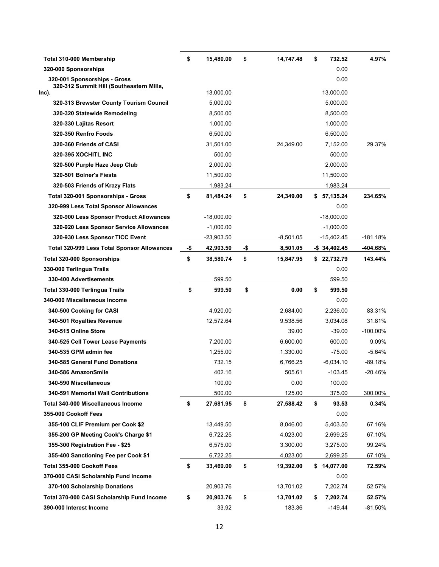| Total 310-000 Membership                                                 | \$  | 15,480.00    | \$  | 14,747.48   | \$<br>732.52     | 4.97%      |
|--------------------------------------------------------------------------|-----|--------------|-----|-------------|------------------|------------|
| 320-000 Sponsorships                                                     |     |              |     |             | 0.00             |            |
| 320-001 Sponsorships - Gross<br>320-312 Summit Hill (Southeastern Mills, |     |              |     |             | 0.00             |            |
| Inc).                                                                    |     | 13,000.00    |     |             | 13,000.00        |            |
| 320-313 Brewster County Tourism Council                                  |     | 5,000.00     |     |             | 5,000.00         |            |
| 320-320 Statewide Remodeling                                             |     | 8,500.00     |     |             | 8,500.00         |            |
| 320-330 Lajitas Resort                                                   |     | 1,000.00     |     |             | 1,000.00         |            |
| 320-350 Renfro Foods                                                     |     | 6,500.00     |     |             | 6,500.00         |            |
| 320-360 Friends of CASI                                                  |     | 31,501.00    |     | 24,349.00   | 7,152.00         | 29.37%     |
| 320-395 XOCHITL INC                                                      |     | 500.00       |     |             | 500.00           |            |
| 320-500 Purple Haze Jeep Club                                            |     | 2,000.00     |     |             | 2,000.00         |            |
| 320-501 Bolner's Fiesta                                                  |     | 11,500.00    |     |             | 11,500.00        |            |
| 320-503 Friends of Krazy Flats                                           |     | 1,983.24     |     |             | 1,983.24         |            |
| Total 320-001 Sponsorships - Gross                                       | \$  | 81,484.24    | \$  | 24,349.00   | \$57,135.24      | 234.65%    |
| 320-999 Less Total Sponsor Allowances                                    |     |              |     |             | 0.00             |            |
| 320-900 Less Sponsor Product Allowances                                  |     | $-18,000.00$ |     |             | $-18,000.00$     |            |
| 320-920 Less Sponsor Service Allowances                                  |     | $-1,000.00$  |     |             | $-1,000.00$      |            |
| 320-930 Less Sponsor TICC Event                                          |     | $-23,903.50$ |     | $-8,501.05$ | $-15,402.45$     | $-181.18%$ |
| Total 320-999 Less Total Sponsor Allowances                              | -\$ | 42,903.50    | -\$ | 8,501.05    | $-$ \$ 34,402.45 | -404.68%   |
| Total 320-000 Sponsorships                                               | \$  | 38,580.74    | \$  | 15,847.95   | \$<br>22,732.79  | 143.44%    |
| 330-000 Terlingua Trails                                                 |     |              |     |             | 0.00             |            |
| 330-400 Advertisements                                                   |     | 599.50       |     |             | 599.50           |            |
|                                                                          |     |              |     |             |                  |            |
| Total 330-000 Terlingua Trails                                           | \$  | 599.50       | \$  | 0.00        | \$<br>599.50     |            |
| 340-000 Miscellaneous Income                                             |     |              |     |             | 0.00             |            |
| 340-500 Cooking for CASI                                                 |     | 4,920.00     |     | 2,684.00    | 2,236.00         | 83.31%     |
| 340-501 Royalties Revenue                                                |     | 12,572.64    |     | 9,538.56    | 3,034.08         | 31.81%     |
| 340-515 Online Store                                                     |     |              |     | 39.00       | $-39.00$         | -100.00%   |
| 340-525 Cell Tower Lease Payments                                        |     | 7,200.00     |     | 6,600.00    | 600.00           | 9.09%      |
| 340-535 GPM admin fee                                                    |     | 1,255.00     |     | 1,330.00    | $-75.00$         | $-5.64%$   |
| 340-585 General Fund Donations                                           |     | 732.15       |     | 6,766.25    | $-6,034.10$      | -89.18%    |
| 340-586 AmazonSmile                                                      |     | 402.16       |     | 505.61      | $-103.45$        | $-20.46%$  |
| 340-590 Miscellaneous                                                    |     | 100.00       |     | 0.00        | 100.00           |            |
| 340-591 Memorial Wall Contributions                                      |     | 500.00       |     | 125.00      | 375.00           | 300.00%    |
| <b>Total 340-000 Miscellaneous Income</b>                                | \$  | 27,681.95    | \$  | 27,588.42   | \$<br>93.53      | 0.34%      |
| 355-000 Cookoff Fees                                                     |     |              |     |             | 0.00             |            |
| 355-100 CLIF Premium per Cook \$2                                        |     | 13,449.50    |     | 8,046.00    | 5,403.50         | 67.16%     |
| 355-200 GP Meeting Cook's Charge \$1                                     |     | 6,722.25     |     | 4,023.00    | 2,699.25         | 67.10%     |
| 355-300 Registration Fee - \$25                                          |     | 6,575.00     |     | 3,300.00    | 3,275.00         | 99.24%     |
| 355-400 Sanctioning Fee per Cook \$1                                     |     | 6,722.25     |     | 4,023.00    | 2,699.25         | 67.10%     |
| Total 355-000 Cookoff Fees                                               | \$  | 33,469.00    | \$  | 19,392.00   | \$<br>14,077.00  | 72.59%     |
| 370-000 CASI Scholarship Fund Income                                     |     |              |     |             | 0.00             |            |
| 370-100 Scholarship Donations                                            |     | 20,903.76    |     | 13,701.02   | 7,202.74         | 52.57%     |
| Total 370-000 CASI Scholarship Fund Income                               | \$  | 20,903.76    | \$  | 13,701.02   | \$<br>7,202.74   | 52.57%     |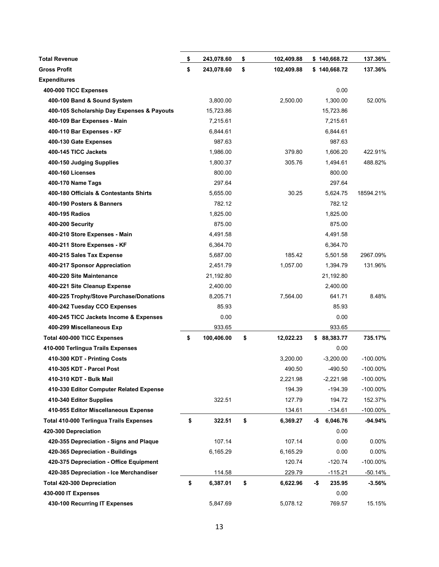| <b>Total Revenue</b>                           | \$<br>243,078.60 | \$<br>102,409.88 |     | \$140,668.72 | 137.36%     |
|------------------------------------------------|------------------|------------------|-----|--------------|-------------|
| <b>Gross Profit</b>                            | \$<br>243,078.60 | \$<br>102,409.88 |     | \$140,668.72 | 137.36%     |
| <b>Expenditures</b>                            |                  |                  |     |              |             |
| 400-000 TICC Expenses                          |                  |                  |     | 0.00         |             |
| 400-100 Band & Sound System                    | 3,800.00         | 2,500.00         |     | 1,300.00     | 52.00%      |
| 400-105 Scholarship Day Expenses & Payouts     | 15,723.86        |                  |     | 15,723.86    |             |
| 400-109 Bar Expenses - Main                    | 7,215.61         |                  |     | 7,215.61     |             |
| 400-110 Bar Expenses - KF                      | 6,844.61         |                  |     | 6,844.61     |             |
| 400-130 Gate Expenses                          | 987.63           |                  |     | 987.63       |             |
| 400-145 TICC Jackets                           | 1,986.00         | 379.80           |     | 1,606.20     | 422.91%     |
| 400-150 Judging Supplies                       | 1,800.37         | 305.76           |     | 1,494.61     | 488.82%     |
| <b>400-160 Licenses</b>                        | 800.00           |                  |     | 800.00       |             |
| 400-170 Name Tags                              | 297.64           |                  |     | 297.64       |             |
| 400-180 Officials & Contestants Shirts         | 5,655.00         | 30.25            |     | 5,624.75     | 18594.21%   |
| 400-190 Posters & Banners                      | 782.12           |                  |     | 782.12       |             |
| 400-195 Radios                                 | 1,825.00         |                  |     | 1,825.00     |             |
| 400-200 Security                               | 875.00           |                  |     | 875.00       |             |
| 400-210 Store Expenses - Main                  | 4,491.58         |                  |     | 4,491.58     |             |
| 400-211 Store Expenses - KF                    | 6,364.70         |                  |     | 6,364.70     |             |
| 400-215 Sales Tax Expense                      | 5,687.00         | 185.42           |     | 5,501.58     | 2967.09%    |
| 400-217 Sponsor Appreciation                   | 2,451.79         | 1,057.00         |     | 1,394.79     | 131.96%     |
| 400-220 Site Maintenance                       | 21,192.80        |                  |     | 21,192.80    |             |
| 400-221 Site Cleanup Expense                   | 2,400.00         |                  |     | 2,400.00     |             |
| 400-225 Trophy/Stove Purchase/Donations        | 8,205.71         | 7,564.00         |     | 641.71       | 8.48%       |
| 400-242 Tuesday CCO Expenses                   | 85.93            |                  |     | 85.93        |             |
| 400-245 TICC Jackets Income & Expenses         | 0.00             |                  |     | 0.00         |             |
| 400-299 Miscellaneous Exp                      | 933.65           |                  |     | 933.65       |             |
| <b>Total 400-000 TICC Expenses</b>             | \$<br>100,406.00 | \$<br>12,022.23  | \$  | 88,383.77    | 735.17%     |
| 410-000 Terlingua Trails Expenses              |                  |                  |     | 0.00         |             |
| 410-300 KDT - Printing Costs                   |                  | 3,200.00         |     | $-3,200.00$  | -100.00%    |
| 410-305 KDT - Parcel Post                      |                  | 490.50           |     | $-490.50$    | -100.00%    |
| 410-310 KDT - Bulk Mail                        |                  | 2,221.98         |     | $-2,221.98$  | $-100.00\%$ |
| 410-330 Editor Computer Related Expense        |                  | 194.39           |     | $-194.39$    | -100.00%    |
| 410-340 Editor Supplies                        | 322.51           | 127.79           |     | 194.72       | 152.37%     |
| 410-955 Editor Miscellaneous Expense           |                  | 134.61           |     | $-134.61$    | -100.00%    |
| <b>Total 410-000 Terlingua Trails Expenses</b> | \$<br>322.51     | \$<br>6,369.27   | -\$ | 6,046.76     | -94.94%     |
| 420-300 Depreciation                           |                  |                  |     | 0.00         |             |
| 420-355 Depreciation - Signs and Plaque        | 107.14           | 107.14           |     | 0.00         | 0.00%       |
| 420-365 Depreciation - Buildings               | 6,165.29         | 6,165.29         |     | 0.00         | $0.00\%$    |
| 420-375 Depreciation - Office Equipment        |                  | 120.74           |     | $-120.74$    | -100.00%    |
| 420-385 Depreciation - Ice Merchandiser        | 114.58           | 229.79           |     | $-115.21$    | -50.14%     |
| Total 420-300 Depreciation                     | \$<br>6,387.01   | \$<br>6,622.96   | -\$ | 235.95       | $-3.56%$    |
| 430-000 IT Expenses                            |                  |                  |     | 0.00         |             |
| 430-100 Recurring IT Expenses                  | 5,847.69         | 5,078.12         |     | 769.57       | 15.15%      |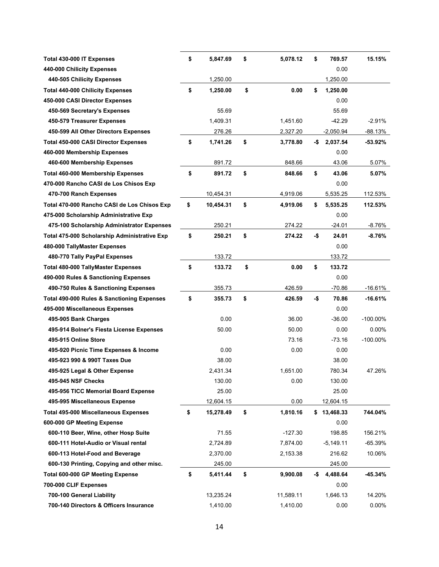| Total 430-000 IT Expenses                             | \$<br>5,847.69  | \$<br>5,078.12 | \$  | 769.57      | 15.15%      |
|-------------------------------------------------------|-----------------|----------------|-----|-------------|-------------|
| 440-000 Chilicity Expenses                            |                 |                |     | 0.00        |             |
| 440-505 Chilicity Expenses                            | 1,250.00        |                |     | 1,250.00    |             |
| <b>Total 440-000 Chilicity Expenses</b>               | \$<br>1,250.00  | \$<br>0.00     | \$  | 1.250.00    |             |
| 450-000 CASI Director Expenses                        |                 |                |     | 0.00        |             |
| 450-569 Secretary's Expenses                          | 55.69           |                |     | 55.69       |             |
| 450-579 Treasurer Expenses                            | 1,409.31        | 1,451.60       |     | $-42.29$    | $-2.91%$    |
| 450-599 All Other Directors Expenses                  | 276.26          | 2,327.20       |     | $-2,050.94$ | -88.13%     |
| <b>Total 450-000 CASI Director Expenses</b>           | \$<br>1,741.26  | \$<br>3,778.80 | -\$ | 2,037.54    | $-53.92%$   |
| 460-000 Membership Expenses                           |                 |                |     | 0.00        |             |
| 460-600 Membership Expenses                           | 891.72          | 848.66         |     | 43.06       | 5.07%       |
| <b>Total 460-000 Membership Expenses</b>              | \$<br>891.72    | \$<br>848.66   | \$  | 43.06       | 5.07%       |
| 470-000 Rancho CASI de Los Chisos Exp                 |                 |                |     | 0.00        |             |
| 470-700 Ranch Expenses                                | 10,454.31       | 4,919.06       |     | 5,535.25    | 112.53%     |
| Total 470-000 Rancho CASI de Los Chisos Exp           | \$<br>10,454.31 | \$<br>4,919.06 | \$  | 5,535.25    | 112.53%     |
| 475-000 Scholarship Administrative Exp                |                 |                |     | 0.00        |             |
| 475-100 Scholarship Administrator Expenses            | 250.21          | 274.22         |     | $-24.01$    | $-8.76%$    |
| Total 475-000 Scholarship Administrative Exp          | \$<br>250.21    | \$<br>274.22   | -\$ | 24.01       | -8.76%      |
| 480-000 TallyMaster Expenses                          |                 |                |     | 0.00        |             |
| 480-770 Tally PayPal Expenses                         | 133.72          |                |     | 133.72      |             |
| Total 480-000 TallyMaster Expenses                    | \$<br>133.72    | \$<br>0.00     | \$  | 133.72      |             |
| 490-000 Rules & Sanctioning Expenses                  |                 |                |     | 0.00        |             |
| 490-750 Rules & Sanctioning Expenses                  | 355.73          | 426.59         |     | $-70.86$    | $-16.61%$   |
| <b>Total 490-000 Rules &amp; Sanctioning Expenses</b> | \$<br>355.73    | \$<br>426.59   | -\$ | 70.86       | $-16.61%$   |
| 495-000 Miscellaneous Expenses                        |                 |                |     | 0.00        |             |
| 495-905 Bank Charges                                  | 0.00            | 36.00          |     | $-36.00$    | $-100.00\%$ |
| 495-914 Bolner's Fiesta License Expenses              | 50.00           | 50.00          |     | 0.00        | 0.00%       |
| 495-915 Online Store                                  |                 | 73.16          |     | $-73.16$    | $-100.00\%$ |
| 495-920 Picnic Time Expenses & Income                 | 0.00            | 0.00           |     | 0.00        |             |
| 495-923 990 & 990T Taxes Due                          | 38.00           |                |     | 38.00       |             |
| 495-925 Legal & Other Expense                         | 2,431.34        | 1,651.00       |     | 780.34      | 47.26%      |
| 495-945 NSF Checks                                    | 130.00          | 0.00           |     | 130.00      |             |
| 495-956 TICC Memorial Board Expense                   | 25.00           |                |     | 25.00       |             |
| 495-995 Miscellaneous Expense                         | 12,604.15       | 0.00           |     | 12,604.15   |             |
| <b>Total 495-000 Miscellaneous Expenses</b>           | \$<br>15,278.49 | \$<br>1,810.16 | \$  | 13,468.33   | 744.04%     |
| 600-000 GP Meeting Expense                            |                 |                |     | 0.00        |             |
| 600-110 Beer, Wine, other Hosp Suite                  | 71.55           | $-127.30$      |     | 198.85      | 156.21%     |
| 600-111 Hotel-Audio or Visual rental                  | 2,724.89        | 7,874.00       |     | $-5,149.11$ | $-65.39%$   |
| 600-113 Hotel-Food and Beverage                       | 2,370.00        | 2,153.38       |     | 216.62      | 10.06%      |
| 600-130 Printing, Copying and other misc.             | 245.00          |                |     | 245.00      |             |
| <b>Total 600-000 GP Meeting Expense</b>               | \$<br>5,411.44  | \$<br>9,900.08 | -\$ | 4,488.64    | $-45.34%$   |
| 700-000 CLIF Expenses                                 |                 |                |     | 0.00        |             |
| 700-100 General Liability                             | 13,235.24       | 11,589.11      |     | 1,646.13    | 14.20%      |
| 700-140 Directors & Officers Insurance                | 1,410.00        | 1,410.00       |     | 0.00        | 0.00%       |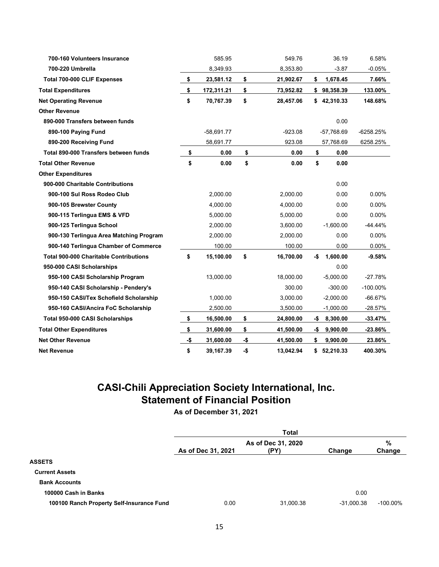| 700-160 Volunteers Insurance                  |     | 585.95       |     | 549.76    |     | 36.19       | 6.58%       |
|-----------------------------------------------|-----|--------------|-----|-----------|-----|-------------|-------------|
| 700-220 Umbrella                              |     | 8,349.93     |     | 8,353.80  |     | $-3.87$     | $-0.05%$    |
| Total 700-000 CLIF Expenses                   | \$  | 23,581.12    | \$  | 21,902.67 | \$  | 1,678.45    | 7.66%       |
| <b>Total Expenditures</b>                     | \$  | 172,311.21   | \$  | 73,952.82 |     | \$98,358.39 | 133.00%     |
| <b>Net Operating Revenue</b>                  | \$  | 70,767.39    | \$  | 28,457.06 | \$  | 42,310.33   | 148.68%     |
| <b>Other Revenue</b>                          |     |              |     |           |     |             |             |
| 890-000 Transfers between funds               |     |              |     |           |     | 0.00        |             |
| 890-100 Paying Fund                           |     | $-58,691.77$ |     | $-923.08$ |     | -57,768.69  | $-6258.25%$ |
| 890-200 Receiving Fund                        |     | 58,691.77    |     | 923.08    |     | 57,768.69   | 6258.25%    |
| Total 890-000 Transfers between funds         | \$  | 0.00         | \$  | 0.00      | \$  | 0.00        |             |
| <b>Total Other Revenue</b>                    | \$  | 0.00         | \$  | 0.00      | \$  | 0.00        |             |
| <b>Other Expenditures</b>                     |     |              |     |           |     |             |             |
| 900-000 Charitable Contributions              |     |              |     |           |     | 0.00        |             |
| 900-100 Sul Ross Rodeo Club                   |     | 2,000.00     |     | 2,000.00  |     | 0.00        | 0.00%       |
| 900-105 Brewster County                       |     | 4,000.00     |     | 4,000.00  |     | 0.00        | $0.00\%$    |
| 900-115 Terlingua EMS & VFD                   |     | 5,000.00     |     | 5,000.00  |     | 0.00        | 0.00%       |
| 900-125 Terlingua School                      |     | 2,000.00     |     | 3,600.00  |     | $-1,600.00$ | -44.44%     |
| 900-130 Terlingua Area Matching Program       |     | 2,000.00     |     | 2,000.00  |     | 0.00        | 0.00%       |
| 900-140 Terlingua Chamber of Commerce         |     | 100.00       |     | 100.00    |     | 0.00        | $0.00\%$    |
| <b>Total 900-000 Charitable Contributions</b> | \$  | 15,100.00    | \$  | 16,700.00 | -\$ | 1,600.00    | -9.58%      |
| 950-000 CASI Scholarships                     |     |              |     |           |     | 0.00        |             |
| 950-100 CASI Scholarship Program              |     | 13,000.00    |     | 18,000.00 |     | $-5,000.00$ | -27.78%     |
| 950-140 CASI Scholarship - Pendery's          |     |              |     | 300.00    |     | $-300.00$   | $-100.00\%$ |
| 950-150 CASI/Tex Schofield Scholarship        |     | 1,000.00     |     | 3,000.00  |     | $-2,000.00$ | $-66.67%$   |
| 950-160 CASI/Ancira FoC Scholarship           |     | 2,500.00     |     | 3,500.00  |     | $-1,000.00$ | -28.57%     |
| <b>Total 950-000 CASI Scholarships</b>        | \$  | 16,500.00    | \$  | 24,800.00 | -\$ | 8,300.00    | -33.47%     |
| <b>Total Other Expenditures</b>               | \$  | 31,600.00    | \$  | 41,500.00 | -\$ | 9,900.00    | -23.86%     |
| <b>Net Other Revenue</b>                      | -\$ | 31,600.00    | -\$ | 41,500.00 | \$  | 9,900.00    | 23.86%      |
| <b>Net Revenue</b>                            | \$  | 39,167.39    | -\$ | 13,042.94 |     | \$52,210.33 | 400.30%     |

# **CASI-Chili Appreciation Society International, Inc. Statement of Financial Position**

**As of December 31, 2021**

|                                           | Total              |                            |              |             |  |  |  |  |
|-------------------------------------------|--------------------|----------------------------|--------------|-------------|--|--|--|--|
|                                           | As of Dec 31, 2021 | As of Dec 31, 2020<br>(PY) | Change       | %<br>Change |  |  |  |  |
| <b>ASSETS</b>                             |                    |                            |              |             |  |  |  |  |
| <b>Current Assets</b>                     |                    |                            |              |             |  |  |  |  |
| <b>Bank Accounts</b>                      |                    |                            |              |             |  |  |  |  |
| 100000 Cash in Banks                      |                    |                            | 0.00         |             |  |  |  |  |
| 100100 Ranch Property Self-Insurance Fund | 0.00               | 31,000.38                  | $-31,000.38$ | $-100.00\%$ |  |  |  |  |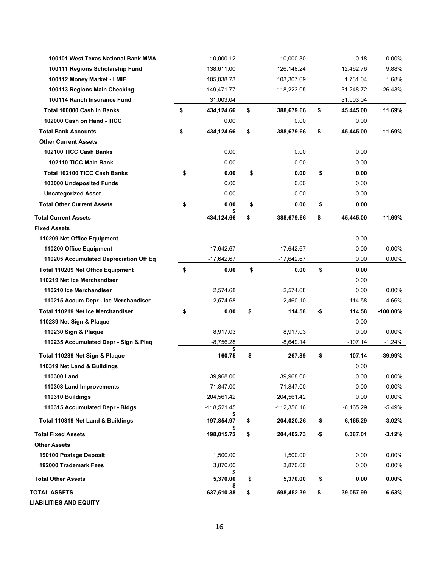| 100101 West Texas National Bank MMA      | 10,000.12        | 10,000.30        |     | $-0.18$     | 0.00%       |
|------------------------------------------|------------------|------------------|-----|-------------|-------------|
| 100111 Regions Scholarship Fund          | 138,611.00       | 126,148.24       |     | 12,462.76   | 9.88%       |
| 100112 Money Market - LMIF               | 105,038.73       | 103,307.69       |     | 1,731.04    | 1.68%       |
| 100113 Regions Main Checking             | 149,471.77       | 118,223.05       |     | 31,248.72   | 26.43%      |
| 100114 Ranch Insurance Fund              | 31,003.04        |                  |     | 31,003.04   |             |
| Total 100000 Cash in Banks               | \$<br>434,124.66 | \$<br>388,679.66 | \$  | 45,445.00   | 11.69%      |
| 102000 Cash on Hand - TICC               | 0.00             | 0.00             |     | 0.00        |             |
| <b>Total Bank Accounts</b>               | \$<br>434,124.66 | \$<br>388,679.66 | \$  | 45,445.00   | 11.69%      |
| <b>Other Current Assets</b>              |                  |                  |     |             |             |
| 102100 TICC Cash Banks                   | 0.00             | 0.00             |     | 0.00        |             |
| 102110 TICC Main Bank                    | 0.00             | 0.00             |     | 0.00        |             |
| <b>Total 102100 TICC Cash Banks</b>      | \$<br>0.00       | \$<br>0.00       | \$  | 0.00        |             |
| 103000 Undeposited Funds                 | 0.00             | 0.00             |     | 0.00        |             |
| <b>Uncategorized Asset</b>               | 0.00             | 0.00             |     | 0.00        |             |
| <b>Total Other Current Assets</b>        | \$<br>0.00       | \$<br>0.00       | \$  | 0.00        |             |
| <b>Total Current Assets</b>              | 434,124.66       | \$<br>388,679.66 | \$  | 45,445.00   | 11.69%      |
| <b>Fixed Assets</b>                      |                  |                  |     |             |             |
| 110209 Net Office Equipment              |                  |                  |     | 0.00        |             |
| 110200 Office Equipment                  | 17,642.67        | 17,642.67        |     | 0.00        | $0.00\%$    |
| 110205 Accumulated Depreciation Off Eq   | $-17,642.67$     | $-17,642.67$     |     | 0.00        | $0.00\%$    |
| <b>Total 110209 Net Office Equipment</b> | \$<br>0.00       | \$<br>0.00       | \$  | 0.00        |             |
| 110219 Net Ice Merchandiser              |                  |                  |     | 0.00        |             |
| 110210 Ice Merchandiser                  | 2,574.68         | 2,574.68         |     | 0.00        | $0.00\%$    |
| 110215 Accum Depr - Ice Merchandiser     | $-2,574.68$      | $-2,460.10$      |     | $-114.58$   | -4.66%      |
| Total 110219 Net Ice Merchandiser        | \$<br>0.00       | \$<br>114.58     | -\$ | 114.58      | $-100.00\%$ |
| 110239 Net Sign & Plaque                 |                  |                  |     | 0.00        |             |
| 110230 Sign & Plaque                     | 8,917.03         | 8,917.03         |     | 0.00        | $0.00\%$    |
| 110235 Accumulated Depr - Sign & Plaq    | $-8,756.28$      | $-8,649.14$      |     | $-107.14$   | $-1.24%$    |
| Total 110239 Net Sign & Plaque           | \$<br>160.75     | \$<br>267.89     | -\$ | 107.14      | $-39.99%$   |
| 110319 Net Land & Buildings              |                  |                  |     | 0.00        |             |
| 110300 Land                              | 39,968.00        | 39,968.00        |     | 0.00        | $0.00\%$    |
| 110303 Land Improvements                 | 71,847.00        | 71,847.00        |     | 0.00        | 0.00%       |
| 110310 Buildings                         | 204,561.42       | 204,561.42       |     | 0.00        | $0.00\%$    |
| 110315 Accumulated Depr - Bldgs          | $-118,521.45$    | $-112,356.16$    |     | $-6,165.29$ | $-5.49%$    |
|                                          | \$               |                  |     |             |             |
| Total 110319 Net Land & Buildings        | 197,854.97       | \$<br>204,020.26 | -\$ | 6,165.29    | $-3.02%$    |
| <b>Total Fixed Assets</b>                | 198,015.72       | \$<br>204,402.73 | -\$ | 6,387.01    | $-3.12%$    |
| <b>Other Assets</b>                      |                  |                  |     |             |             |
| 190100 Postage Deposit                   | 1,500.00         | 1,500.00         |     | 0.00        | $0.00\%$    |
| 192000 Trademark Fees                    | 3,870.00         | 3,870.00         |     | 0.00        | $0.00\%$    |
| <b>Total Other Assets</b>                | \$<br>5,370.00   | \$<br>5,370.00   | \$  | 0.00        | $0.00\%$    |
| <b>TOTAL ASSETS</b>                      | 637,510.38       | \$<br>598,452.39 | \$  | 39,057.99   | 6.53%       |
| <b>LIABILITIES AND EQUITY</b>            |                  |                  |     |             |             |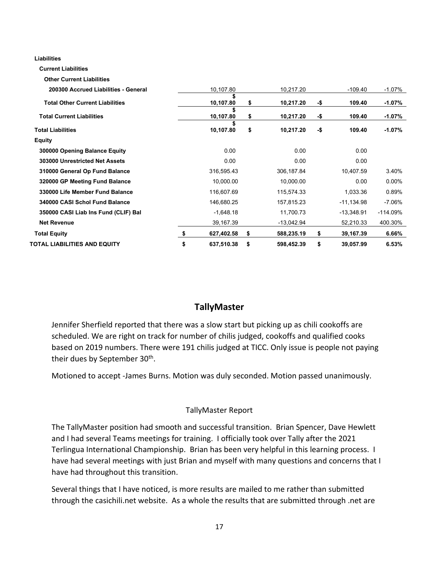**Liabilities**

 **Current Liabilities**

 **Other Current Liabilities 200300 Accrued Liabilities - General** 10,107.80 10,217.20 -109.40 -1.07%  **Total Other Current Liabilities \$ 10,107.80 \$ 10,217.20 -\$ 109.40 -1.07% Total Current Liabilities \$ 10,107.80 \$ 10,217.20 -\$ 109.40 -1.07% Total Liabilities \$ 10,107.80 \$ 10,217.20 -\$ 109.40 -1.07% Equity 300000 Opening Balance Equity** 0.00 0.00 0.00  **303000 Unrestricted Net Assets** 0.00 0.00 0.00  **310000 General Op Fund Balance** 316,595.43 306,187.84 10,407.59 3.40%  **320000 GP Meeting Fund Balance** 10,000.00 10,000.00 0.00 0.00% **330000 Life Member Fund Balance** 116,607.69 116,607.69 115,574.33 1,033.36 0.89%  **340000 CASI Schol Fund Balance** 146,680.25 157,815.23 -11,134.98 -7.06%  **350000 CASI Liab Ins Fund (CLIF) Bal** -1,648.18 11,700.73 -13,348.91 -114.09%  **Net Revenue** 39,167.39 -13,042.94 52,210.33 400.30%  **Total Equity \$ 627,402.58 \$ 588,235.19 \$ 39,167.39 6.66% TOTAL LIABILITIES AND EQUITY \$ 637,510.38 \$ 598,452.39 \$ 39,057.99 6.53%**

# **TallyMaster**

Jennifer Sherfield reported that there was a slow start but picking up as chili cookoffs are scheduled. We are right on track for number of chilis judged, cookoffs and qualified cooks based on 2019 numbers. There were 191 chilis judged at TICC. Only issue is people not paying their dues by September 30<sup>th</sup>.

Motioned to accept -James Burns. Motion was duly seconded. Motion passed unanimously.

#### TallyMaster Report

The TallyMaster position had smooth and successful transition. Brian Spencer, Dave Hewlett and I had several Teams meetings for training. I officially took over Tally after the 2021 Terlingua International Championship. Brian has been very helpful in this learning process. I have had several meetings with just Brian and myself with many questions and concerns that I have had throughout this transition.

Several things that I have noticed, is more results are mailed to me rather than submitted through the casichili.net website. As a whole the results that are submitted through .net are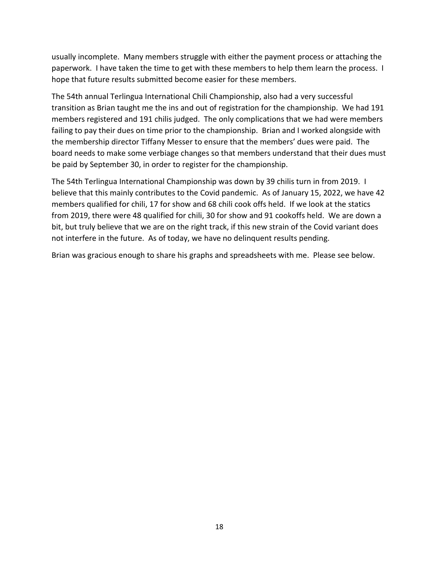usually incomplete. Many members struggle with either the payment process or attaching the paperwork. I have taken the time to get with these members to help them learn the process. I hope that future results submitted become easier for these members.

The 54th annual Terlingua International Chili Championship, also had a very successful transition as Brian taught me the ins and out of registration for the championship. We had 191 members registered and 191 chilis judged. The only complications that we had were members failing to pay their dues on time prior to the championship. Brian and I worked alongside with the membership director Tiffany Messer to ensure that the members' dues were paid. The board needs to make some verbiage changes so that members understand that their dues must be paid by September 30, in order to register for the championship.

The 54th Terlingua International Championship was down by 39 chilis turn in from 2019. I believe that this mainly contributes to the Covid pandemic. As of January 15, 2022, we have 42 members qualified for chili, 17 for show and 68 chili cook offs held. If we look at the statics from 2019, there were 48 qualified for chili, 30 for show and 91 cookoffs held. We are down a bit, but truly believe that we are on the right track, if this new strain of the Covid variant does not interfere in the future. As of today, we have no delinquent results pending.

Brian was gracious enough to share his graphs and spreadsheets with me. Please see below.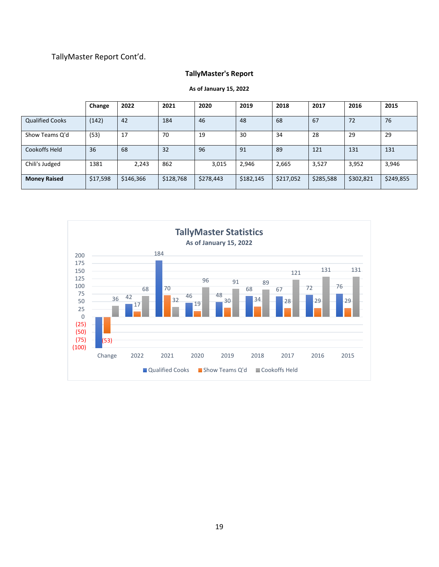## TallyMaster Report Cont'd.

### **TallyMaster's Report**

|                        | Change   | 2022      | 2021      | 2020      | 2019      | 2018      | 2017      | 2016      | 2015      |
|------------------------|----------|-----------|-----------|-----------|-----------|-----------|-----------|-----------|-----------|
| <b>Qualified Cooks</b> | (142)    | 42        | 184       | 46        | 48        | 68        | 67        | 72        | 76        |
| Show Teams Q'd         | (53)     | 17        | 70        | 19        | 30        | 34        | 28        | 29        | 29        |
| Cookoffs Held          | 36       | 68        | 32        | 96        | 91        | 89        | 121       | 131       | 131       |
| Chili's Judged         | 1381     | 2,243     | 862       | 3,015     | 2,946     | 2,665     | 3,527     | 3,952     | 3,946     |
| <b>Money Raised</b>    | \$17,598 | \$146,366 | \$128,768 | \$278,443 | \$182,145 | \$217,052 | \$285,588 | \$302,821 | \$249,855 |



**As of January 15, 2022**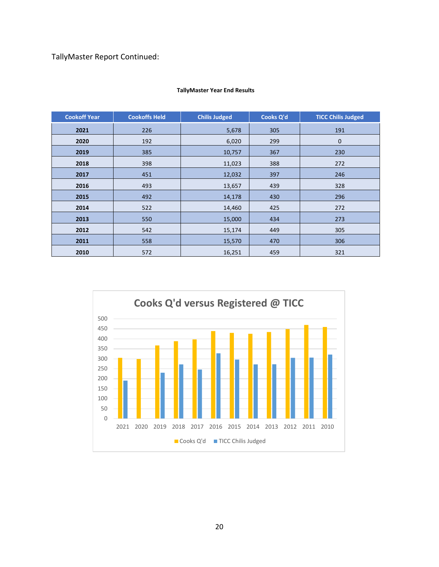TallyMaster Report Continued:

| <b>Cookoff Year</b> | <b>Cookoffs Held</b> | <b>Chilis Judged</b> | Cooks Q'd | <b>TICC Chilis Judged</b> |
|---------------------|----------------------|----------------------|-----------|---------------------------|
| 2021                | 226                  | 5,678                | 305       | 191                       |
| 2020                | 192                  | 6,020                | 299       | $\mathbf 0$               |
| 2019                | 385                  | 10,757               | 367       | 230                       |
| 2018                | 398                  | 11,023               | 388       | 272                       |
| 2017                | 451                  | 12,032               | 397       | 246                       |
| 2016                | 493                  | 13,657               | 439       | 328                       |
| 2015                | 492                  | 14,178               | 430       | 296                       |
| 2014                | 522                  | 14,460               | 425       | 272                       |
| 2013                | 550                  | 15,000               | 434       | 273                       |
| 2012                | 542                  | 15,174               | 449       | 305                       |
| 2011                | 558                  | 15,570               | 470       | 306                       |
| 2010                | 572                  | 16,251               | 459       | 321                       |

#### **TallyMaster Year End Results**

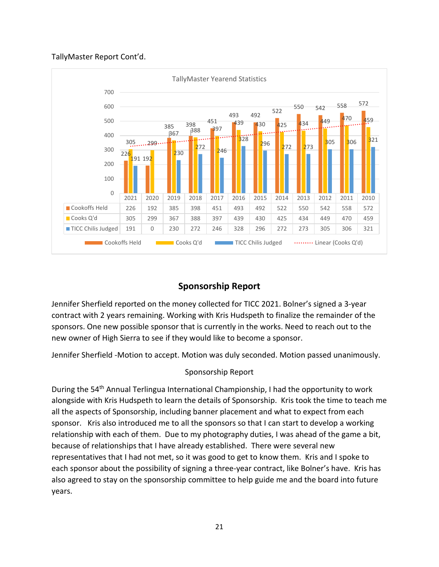### TallyMaster Report Cont'd.



# **Sponsorship Report**

Jennifer Sherfield reported on the money collected for TICC 2021. Bolner's signed a 3-year contract with 2 years remaining. Working with Kris Hudspeth to finalize the remainder of the sponsors. One new possible sponsor that is currently in the works. Need to reach out to the new owner of High Sierra to see if they would like to become a sponsor.

Jennifer Sherfield -Motion to accept. Motion was duly seconded. Motion passed unanimously.

### Sponsorship Report

During the 54<sup>th</sup> Annual Terlingua International Championship, I had the opportunity to work alongside with Kris Hudspeth to learn the details of Sponsorship. Kris took the time to teach me all the aspects of Sponsorship, including banner placement and what to expect from each sponsor. Kris also introduced me to all the sponsors so that I can start to develop a working relationship with each of them. Due to my photography duties, I was ahead of the game a bit, because of relationships that I have already established. There were several new representatives that I had not met, so it was good to get to know them. Kris and I spoke to each sponsor about the possibility of signing a three-year contract, like Bolner's have. Kris has also agreed to stay on the sponsorship committee to help guide me and the board into future years.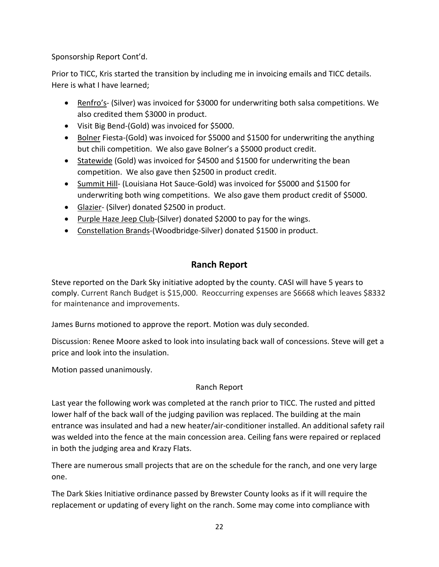Sponsorship Report Cont'd.

Prior to TICC, Kris started the transition by including me in invoicing emails and TICC details. Here is what I have learned;

- Renfro's- (Silver) was invoiced for \$3000 for underwriting both salsa competitions. We also credited them \$3000 in product.
- Visit Big Bend-(Gold) was invoiced for \$5000.
- Bolner Fiesta-(Gold) was invoiced for \$5000 and \$1500 for underwriting the anything but chili competition. We also gave Bolner's a \$5000 product credit.
- Statewide (Gold) was invoiced for \$4500 and \$1500 for underwriting the bean competition. We also gave then \$2500 in product credit.
- Summit Hill- (Louisiana Hot Sauce-Gold) was invoiced for \$5000 and \$1500 for underwriting both wing competitions. We also gave them product credit of \$5000.
- Glazier- (Silver) donated \$2500 in product.
- Purple Haze Jeep Club-(Silver) donated \$2000 to pay for the wings.
- Constellation Brands-(Woodbridge-Silver) donated \$1500 in product.

# **Ranch Report**

Steve reported on the Dark Sky initiative adopted by the county. CASI will have 5 years to comply. Current Ranch Budget is \$15,000. Reoccurring expenses are \$6668 which leaves \$8332 for maintenance and improvements.

James Burns motioned to approve the report. Motion was duly seconded.

Discussion: Renee Moore asked to look into insulating back wall of concessions. Steve will get a price and look into the insulation.

Motion passed unanimously.

### Ranch Report

Last year the following work was completed at the ranch prior to TICC. The rusted and pitted lower half of the back wall of the judging pavilion was replaced. The building at the main entrance was insulated and had a new heater/air-conditioner installed. An additional safety rail was welded into the fence at the main concession area. Ceiling fans were repaired or replaced in both the judging area and Krazy Flats.

There are numerous small projects that are on the schedule for the ranch, and one very large one.

The Dark Skies Initiative ordinance passed by Brewster County looks as if it will require the replacement or updating of every light on the ranch. Some may come into compliance with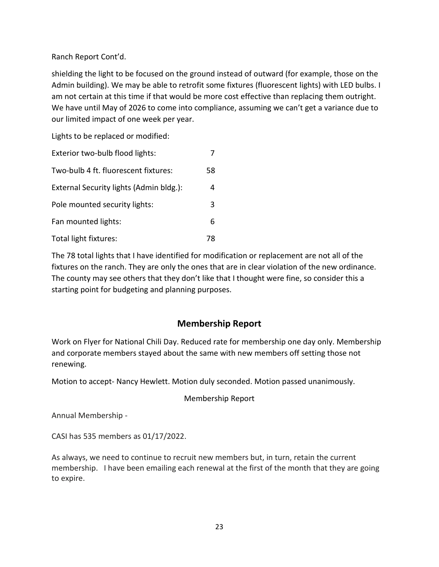### Ranch Report Cont'd.

shielding the light to be focused on the ground instead of outward (for example, those on the Admin building). We may be able to retrofit some fixtures (fluorescent lights) with LED bulbs. I am not certain at this time if that would be more cost effective than replacing them outright. We have until May of 2026 to come into compliance, assuming we can't get a variance due to our limited impact of one week per year.

Lights to be replaced or modified:

| Exterior two-bulb flood lights:         |    |
|-----------------------------------------|----|
| Two-bulb 4 ft. fluorescent fixtures:    | 58 |
| External Security lights (Admin bldg.): | 4  |
| Pole mounted security lights:           | 3  |
| Fan mounted lights:                     | 6  |
| Total light fixtures:                   | 78 |

The 78 total lights that I have identified for modification or replacement are not all of the fixtures on the ranch. They are only the ones that are in clear violation of the new ordinance. The county may see others that they don't like that I thought were fine, so consider this a starting point for budgeting and planning purposes.

# **Membership Report**

Work on Flyer for National Chili Day. Reduced rate for membership one day only. Membership and corporate members stayed about the same with new members off setting those not renewing.

Motion to accept- Nancy Hewlett. Motion duly seconded. Motion passed unanimously.

### Membership Report

Annual Membership -

CASI has 535 members as 01/17/2022.

As always, we need to continue to recruit new members but, in turn, retain the current membership. I have been emailing each renewal at the first of the month that they are going to expire.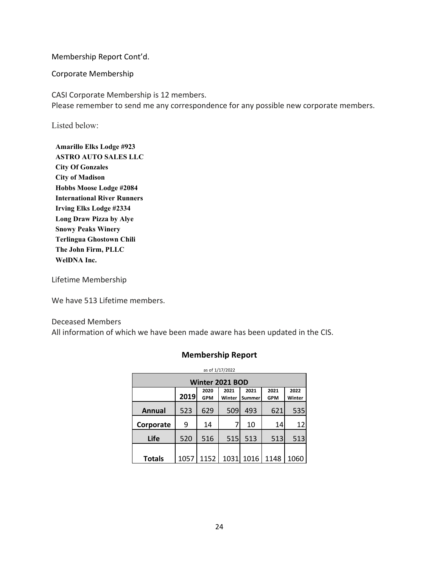Membership Report Cont'd.

Corporate Membership

CASI Corporate Membership is 12 members. Please remember to send me any correspondence for any possible new corporate members.

Listed below:

**Amarillo Elks Lodge #923 ASTRO AUTO SALES LLC City Of Gonzales City of Madison Hobbs Moose Lodge #2084 International River Runners Irving Elks Lodge #2334 Long Draw Pizza by Alye Snowy Peaks Winery Terlingua Ghostown Chili The John Firm, PLLC WelDNA Inc.**

Lifetime Membership

We have 513 Lifetime members.

Deceased Members All information of which we have been made aware has been updated in the CIS.

#### **Membership Report**

| as of 1/17/2022        |      |                    |                |                |                    |                |  |  |
|------------------------|------|--------------------|----------------|----------------|--------------------|----------------|--|--|
| <b>Winter 2021 BOD</b> |      |                    |                |                |                    |                |  |  |
|                        | 2019 | 2020<br><b>GPM</b> | 2021<br>Winter | 2021<br>Summer | 2021<br><b>GPM</b> | 2022<br>Winter |  |  |
| Annual                 | 523  | 629                | 509            | 493            | 621                | 535            |  |  |
| Corporate              | 9    | 14                 | 7              | 10             | 14                 | 12             |  |  |
| Life                   | 520  | 516                | 515            | 513            | 513                | 513            |  |  |
|                        |      |                    |                |                |                    |                |  |  |
| <b>Totals</b>          | 1057 | 1152               | 1031           | 1016           | 1148               | 1060           |  |  |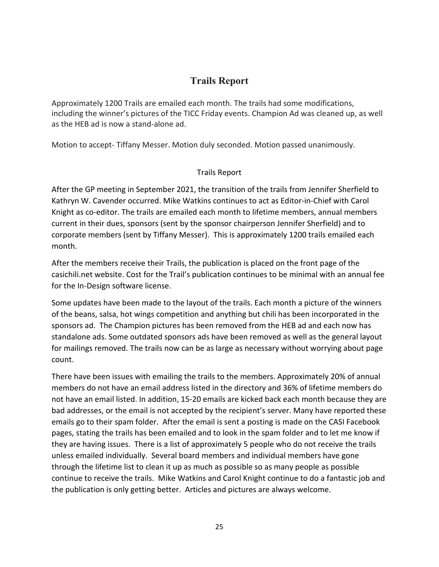# **Trails Report**

Approximately 1200 Trails are emailed each month. The trails had some modifications, including the winner's pictures of the TICC Friday events. Champion Ad was cleaned up, as well as the HEB ad is now a stand-alone ad.

Motion to accept- Tiffany Messer. Motion duly seconded. Motion passed unanimously.

### Trails Report

After the GP meeting in September 2021, the transition of the trails from Jennifer Sherfield to Kathryn W. Cavender occurred. Mike Watkins continues to act as Editor-in-Chief with Carol Knight as co-editor. The trails are emailed each month to lifetime members, annual members current in their dues, sponsors (sent by the sponsor chairperson Jennifer Sherfield) and to corporate members (sent by Tiffany Messer). This is approximately 1200 trails emailed each month.

After the members receive their Trails, the publication is placed on the front page of the casichili.net website. Cost for the Trail's publication continues to be minimal with an annual fee for the In-Design software license.

Some updates have been made to the layout of the trails. Each month a picture of the winners of the beans, salsa, hot wings competition and anything but chili has been incorporated in the sponsors ad. The Champion pictures has been removed from the HEB ad and each now has standalone ads. Some outdated sponsors ads have been removed as well as the general layout for mailings removed. The trails now can be as large as necessary without worrying about page count.

There have been issues with emailing the trails to the members. Approximately 20% of annual members do not have an email address listed in the directory and 36% of lifetime members do not have an email listed. In addition, 15-20 emails are kicked back each month because they are bad addresses, or the email is not accepted by the recipient's server. Many have reported these emails go to their spam folder. After the email is sent a posting is made on the CASI Facebook pages, stating the trails has been emailed and to look in the spam folder and to let me know if they are having issues. There is a list of approximately 5 people who do not receive the trails unless emailed individually. Several board members and individual members have gone through the lifetime list to clean it up as much as possible so as many people as possible continue to receive the trails. Mike Watkins and Carol Knight continue to do a fantastic job and the publication is only getting better. Articles and pictures are always welcome.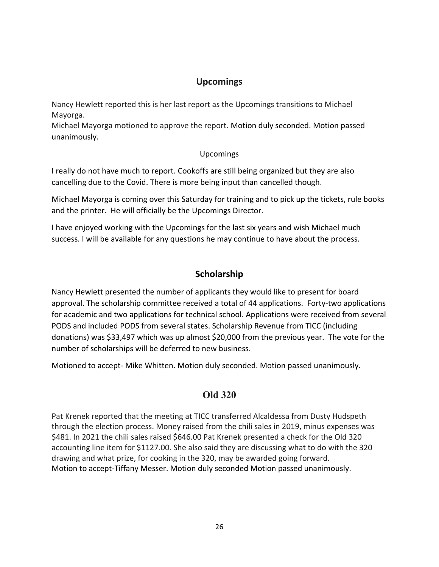# **Upcomings**

Nancy Hewlett reported this is her last report as the Upcomings transitions to Michael Mayorga.

Michael Mayorga motioned to approve the report. Motion duly seconded. Motion passed unanimously.

### Upcomings

I really do not have much to report. Cookoffs are still being organized but they are also cancelling due to the Covid. There is more being input than cancelled though.

Michael Mayorga is coming over this Saturday for training and to pick up the tickets, rule books and the printer. He will officially be the Upcomings Director.

I have enjoyed working with the Upcomings for the last six years and wish Michael much success. I will be available for any questions he may continue to have about the process.

# **Scholarship**

Nancy Hewlett presented the number of applicants they would like to present for board approval. The scholarship committee received a total of 44 applications. Forty-two applications for academic and two applications for technical school. Applications were received from several PODS and included PODS from several states. Scholarship Revenue from TICC (including donations) was \$33,497 which was up almost \$20,000 from the previous year. The vote for the number of scholarships will be deferred to new business.

Motioned to accept- Mike Whitten. Motion duly seconded. Motion passed unanimously.

# **Old 320**

Pat Krenek reported that the meeting at TICC transferred Alcaldessa from Dusty Hudspeth through the election process. Money raised from the chili sales in 2019, minus expenses was \$481. In 2021 the chili sales raised \$646.00 Pat Krenek presented a check for the Old 320 accounting line item for \$1127.00. She also said they are discussing what to do with the 320 drawing and what prize, for cooking in the 320, may be awarded going forward. Motion to accept-Tiffany Messer. Motion duly seconded Motion passed unanimously.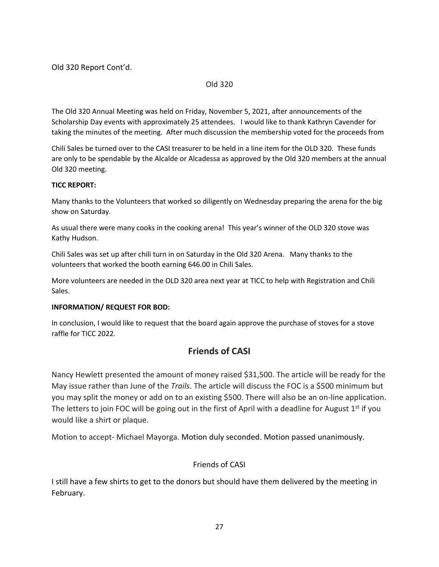Old 320 Report Cont'd.

#### Old 320

The Old 320 Annual Meeting was held on Friday, November 5, 2021, after announcements of the Scholarship Day events with approximately 25 attendees. I would like to thank Kathryn Cavender for taking the minutes of the meeting. After much discussion the membership voted for the proceeds from

Chili Sales be turned over to the CASI treasurer to be held in a line item for the OLD 320. These funds are only to be spendable by the Alcalde or Alcadessa as approved by the Old 320 members at the annual Old 320 meeting.

#### **TICC REPORT:**

Many thanks to the Volunteers that worked so diligently on Wednesday preparing the arena for the big show on Saturday.

As usual there were many cooks in the cooking arena! This year's winner of the OLD 320 stove was Kathy Hudson.

Chili Sales was set up after chili turn in on Saturday in the Old 320 Arena. Many thanks to the volunteers that worked the booth earning 646.00 in Chili Sales.

More volunteers are needed in the OLD 320 area next year at TICC to help with Registration and Chili Sales.

#### **INFORMATION/ REQUEST FOR BOD:**

In conclusion, I would like to request that the board again approve the purchase of stoves for a stove raffle for TICC 2022.

# **Friends of CASI**

Nancy Hewlett presented the amount of money raised \$31,500. The article will be ready for the May issue rather than June of the *Trails*. The article will discuss the FOC is a \$500 minimum but you may split the money or add on to an existing \$500. There will also be an on-line application. The letters to join FOC will be going out in the first of April with a deadline for August  $1<sup>st</sup>$  if you would like a shirt or plaque.

Motion to accept- Michael Mayorga. Motion duly seconded. Motion passed unanimously.

### Friends of CASI

I still have a few shirts to get to the donors but should have them delivered by the meeting in February.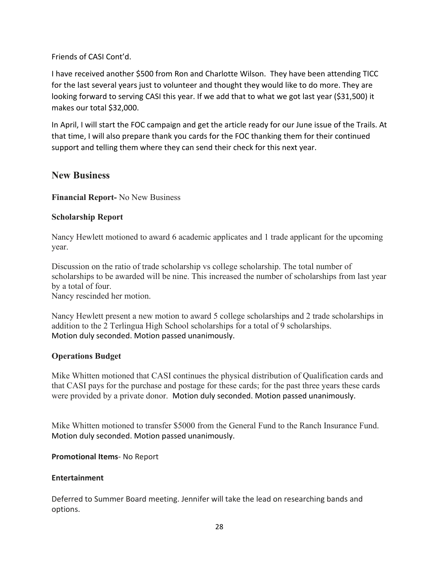### Friends of CASI Cont'd.

I have received another \$500 from Ron and Charlotte Wilson. They have been attending TICC for the last several years just to volunteer and thought they would like to do more. They are looking forward to serving CASI this year. If we add that to what we got last year (\$31,500) it makes our total \$32,000.

In April, I will start the FOC campaign and get the article ready for our June issue of the Trails. At that time, I will also prepare thank you cards for the FOC thanking them for their continued support and telling them where they can send their check for this next year.

# **New Business**

**Financial Report-** No New Business

### **Scholarship Report**

Nancy Hewlett motioned to award 6 academic applicates and 1 trade applicant for the upcoming year.

Discussion on the ratio of trade scholarship vs college scholarship. The total number of scholarships to be awarded will be nine. This increased the number of scholarships from last year by a total of four.

Nancy rescinded her motion.

Nancy Hewlett present a new motion to award 5 college scholarships and 2 trade scholarships in addition to the 2 Terlingua High School scholarships for a total of 9 scholarships. Motion duly seconded. Motion passed unanimously.

### **Operations Budget**

Mike Whitten motioned that CASI continues the physical distribution of Qualification cards and that CASI pays for the purchase and postage for these cards; for the past three years these cards were provided by a private donor. Motion duly seconded. Motion passed unanimously.

Mike Whitten motioned to transfer \$5000 from the General Fund to the Ranch Insurance Fund. Motion duly seconded. Motion passed unanimously.

**Promotional Items**- No Report

### **Entertainment**

Deferred to Summer Board meeting. Jennifer will take the lead on researching bands and options.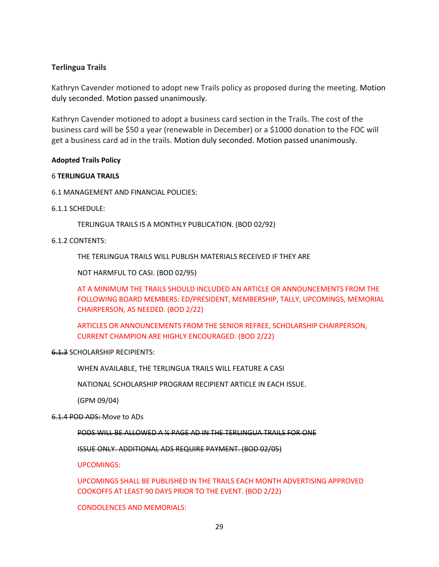#### **Terlingua Trails**

Kathryn Cavender motioned to adopt new Trails policy as proposed during the meeting. Motion duly seconded. Motion passed unanimously.

Kathryn Cavender motioned to adopt a business card section in the Trails. The cost of the business card will be \$50 a year (renewable in December) or a \$1000 donation to the FOC will get a business card ad in the trails. Motion duly seconded. Motion passed unanimously.

#### **Adopted Trails Policy**

#### 6 **TERLINGUA TRAILS**

6.1 MANAGEMENT AND FINANCIAL POLICIES:

#### 6.1.1 SCHEDULE:

TERLINGUA TRAILS IS A MONTHLY PUBLICATION. (BOD 02/92)

#### 6.1.2 CONTENTS:

THE TERLINGUA TRAILS WILL PUBLISH MATERIALS RECEIVED IF THEY ARE

NOT HARMFUL TO CASI. (BOD 02/95)

AT A MINIMUM THE TRAILS SHOULD INCLUDED AN ARTICLE OR ANNOUNCEMENTS FROM THE FOLLOWING BOARD MEMBERS: ED/PRESIDENT, MEMBERSHIP, TALLY, UPCOMINGS, MEMORIAL CHAIRPERSON, AS NEEDED. (BOD 2/22)

ARTICLES OR ANNOUNCEMENTS FROM THE SENIOR REFREE, SCHOLARSHIP CHAIRPERSON, CURRENT CHAMPION ARE HIGHLY ENCOURAGED. (BOD 2/22)

#### 6.1.3 SCHOLARSHIP RECIPIENTS:

WHEN AVAILABLE, THE TERLINGUA TRAILS WILL FEATURE A CASI

NATIONAL SCHOLARSHIP PROGRAM RECIPIENT ARTICLE IN EACH ISSUE.

(GPM 09/04)

6.1.4 POD ADS: Move to ADs

PODS WILL BE ALLOWED A ¼ PAGE AD IN THE TERLINGUA TRAILS FOR ONE

ISSUE ONLY. ADDITIONAL ADS REQUIRE PAYMENT. (BOD 02/05)

UPCOMINGS:

UPCOMINGS SHALL BE PUBLISHED IN THE TRAILS EACH MONTH ADVERTISING APPROVED COOKOFFS AT LEAST 90 DAYS PRIOR TO THE EVENT. (BOD 2/22)

CONDOLENCES AND MEMORIALS: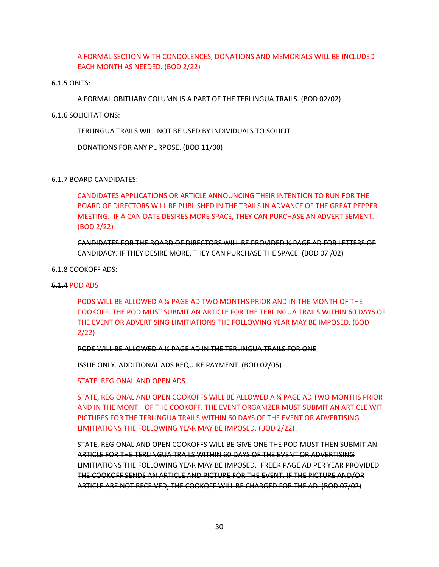A FORMAL SECTION WITH CONDOLENCES, DONATIONS AND MEMORIALS WILL BE INCLUDED EACH MONTH AS NEEDED. (BOD 2/22)

#### 6.1.5 OBITS:

A FORMAL OBITUARY COLUMN IS A PART OF THE TERLINGUA TRAILS. (BOD 02/02)

#### 6.1.6 SOLICITATIONS:

TERLINGUA TRAILS WILL NOT BE USED BY INDIVIDUALS TO SOLICIT

DONATIONS FOR ANY PURPOSE. (BOD 11/00)

#### 6.1.7 BOARD CANDIDATES:

CANDIDATES APPLICATIONS OR ARTICLE ANNOUNCING THEIR INTENTION TO RUN FOR THE BOARD OF DIRECTORS WILL BE PUBLISHED IN THE TRAILS IN ADVANCE OF THE GREAT PEPPER MEETING. IF A CANIDATE DESIRES MORE SPACE, THEY CAN PURCHASE AN ADVERTISEMENT. (BOD 2/22)

CANDIDATES FOR THE BOARD OF DIRECTORS WILL BE PROVIDED ¼ PAGE AD FOR LETTERS OF CANDIDACY. IF THEY DESIRE MORE, THEY CAN PURCHASE THE SPACE. (BOD 07 /02)

#### 6.1.8 COOKOFF ADS:

#### 6.1.4 POD ADS

PODS WILL BE ALLOWED A ¼ PAGE AD TWO MONTHS PRIOR AND IN THE MONTH OF THE COOKOFF. THE POD MUST SUBMIT AN ARTICLE FOR THE TERLINGUA TRAILS WITHIN 60 DAYS OF THE EVENT OR ADVERTISING LIMITIATIONS THE FOLLOWING YEAR MAY BE IMPOSED. (BOD 2/22)

PODS WILL BE ALLOWED A ¼ PAGE AD IN THE TERLINGUA TRAILS FOR ONE

ISSUE ONLY. ADDITIONAL ADS REQUIRE PAYMENT. (BOD 02/05)

STATE, REGIONAL AND OPEN ADS

STATE, REGIONAL AND OPEN COOKOFFS WILL BE ALLOWED A ¼ PAGE AD TWO MONTHS PRIOR AND IN THE MONTH OF THE COOKOFF. THE EVENT ORGANIZER MUST SUBMIT AN ARTICLE WITH PICTURES FOR THE TERLINGUA TRAILS WITHIN 60 DAYS OF THE EVENT OR ADVERTISING LIMITIATIONS THE FOLLOWING YEAR MAY BE IMPOSED. (BOD 2/22)

STATE, REGIONAL AND OPEN COOKOFFS WILL BE GIVE ONE THE POD MUST THEN SUBMIT AN ARTICLE FOR THE TERLINGUA TRAILS WITHIN 60 DAYS OF THE EVENT OR ADVERTISING LIMITIATIONS THE FOLLOWING YEAR MAY BE IMPOSED. FREE¼ PAGE AD PER YEAR PROVIDED THE COOKOFF SENDS AN ARTICLE AND PICTURE FOR THE EVENT. IF THE PICTURE AND/OR ARTICLE ARE NOT RECEIVED, THE COOKOFF WILL BE CHARGED FOR THE AD. (BOD 07/02)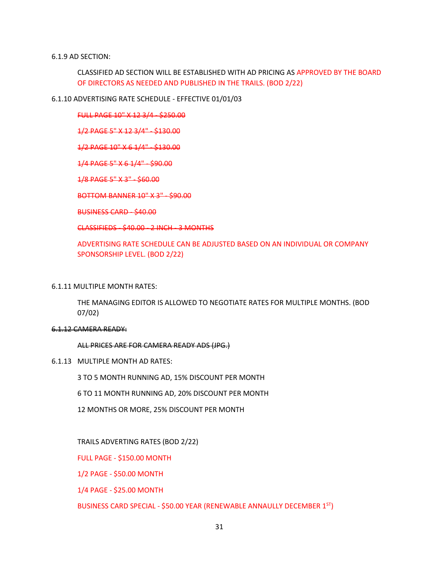#### 6.1.9 AD SECTION:

CLASSIFIED AD SECTION WILL BE ESTABLISHED WITH AD PRICING AS APPROVED BY THE BOARD OF DIRECTORS AS NEEDED AND PUBLISHED IN THE TRAILS. (BOD 2/22)

#### 6.1.10 ADVERTISING RATE SCHEDULE - EFFECTIVE 01/01/03

FULL PAGE 10" X 12 3/4 - \$250.00

1/2 PAGE 5" X 12 3/4" - \$130.00

1/2 PAGE 10" X 6 1/4" - \$130.00

1/4 PAGE 5" X 6 1/4" - \$90.00

1/8 PAGE 5" X 3" - \$60.00

BOTTOM BANNER 10" X 3" - \$90.00

BUSINESS CARD - \$40.00

CLASSIFIEDS - \$40.00 - 2 INCH - 3 MONTHS

ADVERTISING RATE SCHEDULE CAN BE ADJUSTED BASED ON AN INDIVIDUAL OR COMPANY SPONSORSHIP LEVEL. (BOD 2/22)

#### 6.1.11 MULTIPLE MONTH RATES:

THE MANAGING EDITOR IS ALLOWED TO NEGOTIATE RATES FOR MULTIPLE MONTHS. (BOD 07/02)

#### 6.1.12 CAMERA READY:

ALL PRICES ARE FOR CAMERA READY ADS (JPG.)

6.1.13 MULTIPLE MONTH AD RATES:

3 TO 5 MONTH RUNNING AD, 15% DISCOUNT PER MONTH

6 TO 11 MONTH RUNNING AD, 20% DISCOUNT PER MONTH

12 MONTHS OR MORE, 25% DISCOUNT PER MONTH

TRAILS ADVERTING RATES (BOD 2/22)

FULL PAGE - \$150.00 MONTH

1/2 PAGE - \$50.00 MONTH

1/4 PAGE - \$25.00 MONTH

BUSINESS CARD SPECIAL - \$50.00 YEAR (RENEWABLE ANNAULLY DECEMBER 1ST)